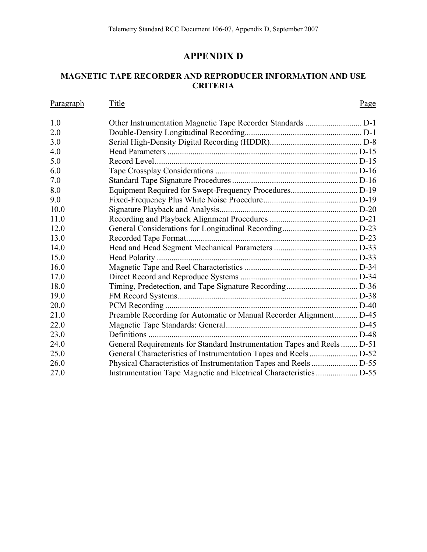# **APPENDIX D**

## <span id="page-0-0"></span>**MAGNETIC TAPE RECORDER AND REPRODUCER INFORMATION AND USE CRITERIA**

| <b>Paragraph</b> | Title                                                                   | Page |
|------------------|-------------------------------------------------------------------------|------|
| 1.0              |                                                                         |      |
| 2.0              |                                                                         |      |
| 3.0              |                                                                         |      |
| 4.0              |                                                                         |      |
| 5.0              |                                                                         |      |
| 6.0              |                                                                         |      |
| 7.0              |                                                                         |      |
| 8.0              |                                                                         |      |
| 9.0              |                                                                         |      |
| 10.0             |                                                                         |      |
| 11.0             |                                                                         |      |
| 12.0             |                                                                         |      |
| 13.0             |                                                                         |      |
| 14.0             |                                                                         |      |
| 15.0             |                                                                         |      |
| 16.0             |                                                                         |      |
| 17.0             |                                                                         |      |
| 18.0             |                                                                         |      |
| 19.0             |                                                                         |      |
| 20.0             |                                                                         |      |
| 21.0             | Preamble Recording for Automatic or Manual Recorder Alignment D-45      |      |
| 22.0             |                                                                         |      |
| 23.0             |                                                                         |      |
| 24.0             | General Requirements for Standard Instrumentation Tapes and Reels  D-51 |      |
| 25.0             |                                                                         |      |
| 26.0             |                                                                         |      |
| 27.0             |                                                                         |      |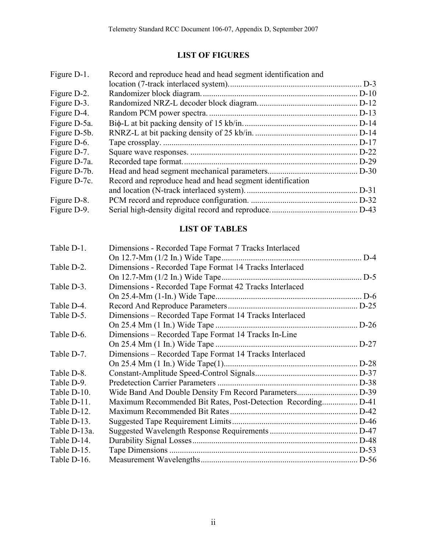# **LIST OF FIGURES**

| Record and reproduce head and head segment identification and |          |
|---------------------------------------------------------------|----------|
|                                                               |          |
|                                                               |          |
|                                                               |          |
|                                                               | $.D-13$  |
|                                                               |          |
|                                                               |          |
|                                                               | $. D-17$ |
|                                                               | $D-22$   |
|                                                               | .D-29    |
|                                                               |          |
| Record and reproduce head and head segment identification     |          |
|                                                               | $D-31$   |
|                                                               |          |
|                                                               |          |
|                                                               |          |

# **LIST OF TABLES**

| Table D-1.   | Dimensions - Recorded Tape Format 7 Tracks Interlaced  |          |
|--------------|--------------------------------------------------------|----------|
|              | On 12.7-Mm (1/2 In.) Wide Tape                         | $D-4$    |
| Table D-2.   | Dimensions - Recorded Tape Format 14 Tracks Interlaced |          |
|              |                                                        |          |
| Table D-3.   | Dimensions - Recorded Tape Format 42 Tracks Interlaced |          |
|              |                                                        |          |
| Table D-4.   |                                                        |          |
| Table D-5.   | Dimensions - Recorded Tape Format 14 Tracks Interlaced |          |
|              |                                                        | $. D-26$ |
| Table D-6.   | Dimensions – Recorded Tape Format 14 Tracks In-Line    |          |
|              |                                                        |          |
| Table D-7.   | Dimensions – Recorded Tape Format 14 Tracks Interlaced |          |
|              |                                                        |          |
| Table D-8.   |                                                        |          |
| Table D-9.   |                                                        |          |
| Table D-10.  |                                                        |          |
| Table D-11.  |                                                        |          |
| Table D-12.  |                                                        |          |
| Table D-13.  |                                                        |          |
| Table D-13a. |                                                        |          |
| Table D-14.  |                                                        |          |
| Table D-15.  |                                                        |          |
| Table D-16.  |                                                        |          |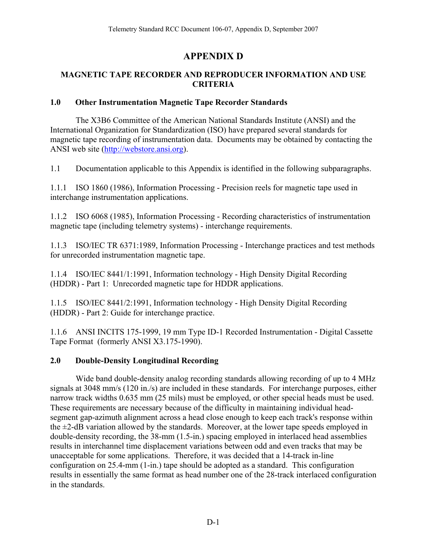# **APPENDIX D**

#### <span id="page-2-0"></span>**MAGNETIC TAPE RECORDER AND REPRODUCER INFORMATION AND USE CRITERIA**

#### **1.0 Other Instrumentation Magnetic Tape Recorder Standards**

 The X3B6 Committee of the American National Standards Institute (ANSI) and the International Organization for Standardization (ISO) have prepared several standards for magnetic tape recording of instrumentation data. Documents may be obtained by contacting the ANSI web site ([http://webstore.ansi.org](http://webstore.ansi.org/)).

1.1 Documentation applicable to this Appendix is identified in the following subparagraphs.

1.1.1 ISO 1860 (1986), Information Processing - Precision reels for magnetic tape used in interchange instrumentation applications.

1.1.2 ISO 6068 (1985), Information Processing - Recording characteristics of instrumentation magnetic tape (including telemetry systems) - interchange requirements.

1.1.3 ISO/IEC TR 6371:1989, Information Processing - Interchange practices and test methods for unrecorded instrumentation magnetic tape.

1.1.4 ISO/IEC 8441/1:1991, Information technology - High Density Digital Recording (HDDR) - Part 1: Unrecorded magnetic tape for HDDR applications.

1.1.5 ISO/IEC 8441/2:1991, Information technology - High Density Digital Recording (HDDR) - Part 2: Guide for interchange practice.

1.1.6 ANSI INCITS 175-1999, 19 mm Type ID-1 Recorded Instrumentation - Digital Cassette Tape Format (formerly ANSI X3.175-1990).

#### **2.0 Double-Density Longitudinal Recording**

 Wide band double-density analog recording standards allowing recording of up to 4 MHz signals at 3048 mm/s (120 in./s) are included in these standards. For interchange purposes, either narrow track widths 0.635 mm (25 mils) must be employed, or other special heads must be used. These requirements are necessary because of the difficulty in maintaining individual headsegment gap-azimuth alignment across a head close enough to keep each track's response within the  $\pm$ 2-dB variation allowed by the standards. Moreover, at the lower tape speeds employed in double-density recording, the 38-mm (1.5-in.) spacing employed in interlaced head assemblies results in interchannel time displacement variations between odd and even tracks that may be unacceptable for some applications. Therefore, it was decided that a 14-track in-line configuration on 25.4-mm (1-in.) tape should be adopted as a standard. This configuration results in essentially the same format as head number one of the 28-track interlaced configuration in the standards.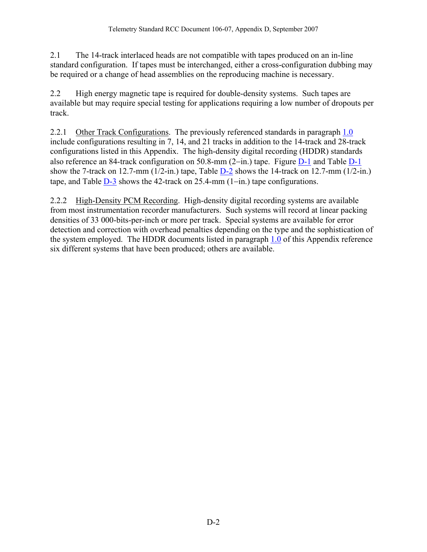2.1 The 14-track interlaced heads are not compatible with tapes produced on an in-line standard configuration. If tapes must be interchanged, either a cross-configuration dubbing may be required or a change of head assemblies on the reproducing machine is necessary.

2.2 High energy magnetic tape is required for double-density systems. Such tapes are available but may require special testing for applications requiring a low number of dropouts per track.

2.2.1 Other Track Configurations. The previously referenced standards in paragraph [1.0](#page-2-0) include configurations resulting in 7, 14, and 21 tracks in addition to the 14-track and 28-track configurations listed in this Appendix. The high-density digital recording (HDDR) standards also reference an 84-track configuration on 50.8-mm (2−in.) tape. Figure [D-1](#page-4-0) and Table [D-1](#page-5-0) show the 7-track on 12.7-mm ( $1/2$ -in.) tape, Table [D-2](#page-6-0) shows the 14-track on 12.7-mm ( $1/2$ -in.) tape, and Table [D-3](#page-7-0) shows the 42-track on 25.4-mm (1−in.) tape configurations.

2.2.2 High-Density PCM Recording. High-density digital recording systems are available from most instrumentation recorder manufacturers. Such systems will record at linear packing densities of 33 000-bits-per-inch or more per track. Special systems are available for error detection and correction with overhead penalties depending on the type and the sophistication of the system employed. The HDDR documents listed in paragraph [1.0](#page-2-0) of this Appendix reference six different systems that have been produced; others are available.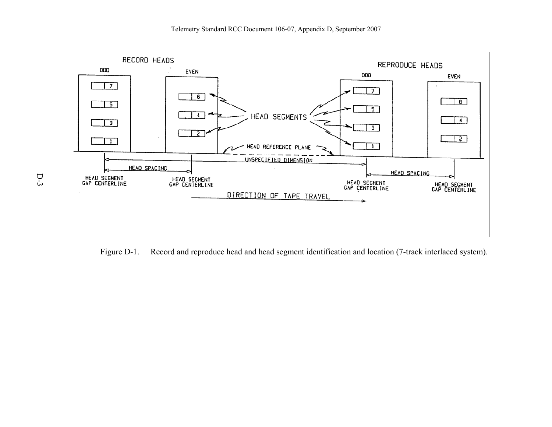

<span id="page-4-0"></span>Figure D-1. Record and reproduce head and head segment identification and location (7-track interlaced system).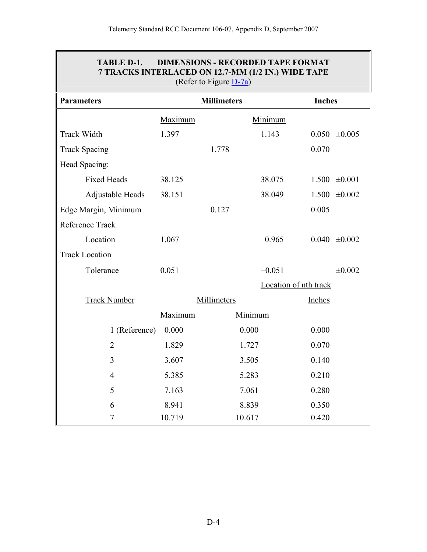| TABLE D-1. DIMENSIONS - RECORDED TAPE FORMAT       |
|----------------------------------------------------|
| 7 TRACKS INTERLACED ON 12.7-MM (1/2 IN.) WIDE TAPE |
| (Refer to Figure $D-7a$ )                          |

<span id="page-5-0"></span>

| <b>Parameters</b>     |         | <b>Millimeters</b> |                       | <b>Inches</b>        |  |
|-----------------------|---------|--------------------|-----------------------|----------------------|--|
|                       | Maximum |                    | Minimum               |                      |  |
| <b>Track Width</b>    | 1.397   |                    | 1.143                 | $0.050 \pm 0.005$    |  |
| <b>Track Spacing</b>  |         | 1.778              |                       | 0.070                |  |
| Head Spacing:         |         |                    |                       |                      |  |
| <b>Fixed Heads</b>    | 38.125  |                    | 38.075                | $1.500 \pm 0.001$    |  |
| Adjustable Heads      | 38.151  |                    | 38.049                | 1.500<br>$\pm 0.002$ |  |
| Edge Margin, Minimum  |         | 0.127              |                       | 0.005                |  |
| Reference Track       |         |                    |                       |                      |  |
| Location              | 1.067   |                    | 0.965                 | 0.040<br>±0.002      |  |
| <b>Track Location</b> |         |                    |                       |                      |  |
| Tolerance             | 0.051   |                    | $-0.051$              | $\pm 0.002$          |  |
|                       |         |                    | Location of nth track |                      |  |
| <b>Track Number</b>   |         | Millimeters        |                       | Inches               |  |
|                       | Maximum |                    | Minimum               |                      |  |
| 1 (Reference)         | 0.000   |                    | 0.000                 | 0.000                |  |
| $\overline{2}$        | 1.829   |                    | 1.727                 | 0.070                |  |
| $\overline{3}$        | 3.607   |                    | 3.505                 | 0.140                |  |
| $\overline{4}$        | 5.385   |                    | 5.283                 | 0.210                |  |
| 5                     | 7.163   |                    | 7.061                 | 0.280                |  |
| 6                     | 8.941   |                    | 8.839                 | 0.350                |  |
| $\overline{7}$        | 10.719  |                    | 10.617                | 0.420                |  |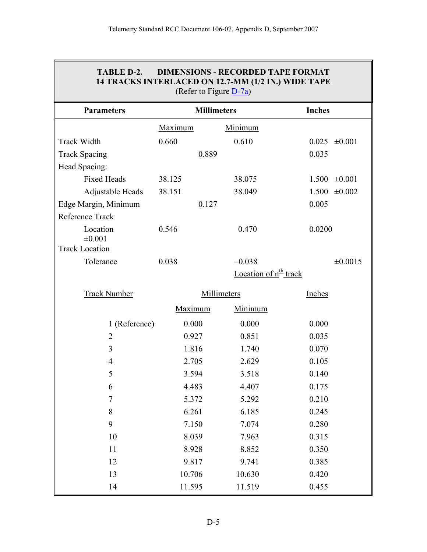<span id="page-6-0"></span> $\mathbb{F}$ 

| TABLE D-2.                      | (Refer to Figure $D-7a$ ) | <b>DIMENSIONS - RECORDED TAPE FORMAT</b><br>14 TRACKS INTERLACED ON 12.7-MM (1/2 IN.) WIDE TAPE |                      |  |
|---------------------------------|---------------------------|-------------------------------------------------------------------------------------------------|----------------------|--|
| <b>Parameters</b>               | <b>Millimeters</b>        |                                                                                                 | <b>Inches</b>        |  |
|                                 | Maximum                   | Minimum                                                                                         |                      |  |
| <b>Track Width</b>              | 0.660                     | 0.610                                                                                           | 0.025<br>$\pm 0.001$ |  |
| <b>Track Spacing</b>            | 0.889                     |                                                                                                 | 0.035                |  |
| Head Spacing:                   |                           |                                                                                                 |                      |  |
| <b>Fixed Heads</b>              | 38.125                    | 38.075                                                                                          | 1.500<br>$\pm 0.001$ |  |
| Adjustable Heads                | 38.151                    | 38.049                                                                                          | 1.500<br>$\pm 0.002$ |  |
| Edge Margin, Minimum            | 0.127                     |                                                                                                 | 0.005                |  |
| Reference Track                 |                           |                                                                                                 |                      |  |
| Location                        | 0.546                     | 0.470                                                                                           | 0.0200               |  |
| ±0.001<br><b>Track Location</b> |                           |                                                                                                 |                      |  |
| Tolerance                       | 0.038                     | $-0.038$                                                                                        | $\pm 0.0015$         |  |
|                                 |                           | Location of $n^{\underline{th}}$ track                                                          |                      |  |
|                                 |                           |                                                                                                 |                      |  |
| <b>Track Number</b>             |                           | Millimeters                                                                                     | Inches               |  |
|                                 | Maximum                   | Minimum                                                                                         |                      |  |
| 1 (Reference)                   | 0.000                     | 0.000                                                                                           | 0.000                |  |
| $\overline{2}$                  | 0.927                     | 0.851                                                                                           | 0.035                |  |
| 3                               | 1.816                     | 1.740                                                                                           | 0.070                |  |
| 4                               | 2.705                     | 2.629                                                                                           | 0.105                |  |
| 5                               | 3.594                     | 3.518                                                                                           | 0.140                |  |
| 6                               | 4.483                     | 4.407                                                                                           | 0.175                |  |
| $\boldsymbol{7}$                | 5.372                     | 5.292                                                                                           | 0.210                |  |
| 8                               | 6.261                     | 6.185                                                                                           | 0.245                |  |
| 9                               | 7.150                     | 7.074                                                                                           | 0.280                |  |
| 10                              | 8.039                     | 7.963                                                                                           | 0.315                |  |
| 11                              | 8.928                     | 8.852                                                                                           | 0.350                |  |
| 12                              | 9.817                     | 9.741                                                                                           | 0.385                |  |
| 13                              | 10.706                    | 10.630                                                                                          | 0.420                |  |
| 14                              | 11.595                    | 11.519                                                                                          | 0.455                |  |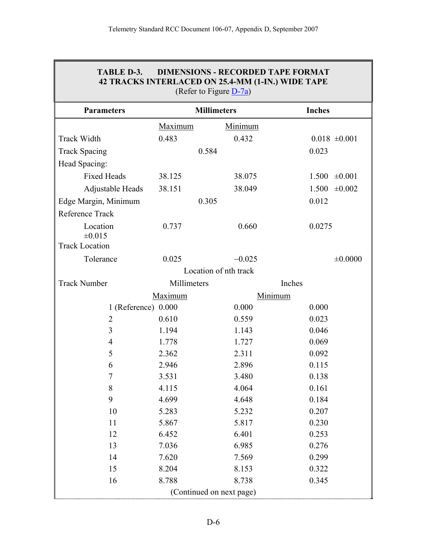<span id="page-7-0"></span> $\mathbb{F}$ 

| TABLE D-3.            |                | <b>DIMENSIONS - RECORDED TAPE FORMAT</b><br>42 TRACKS INTERLACED ON 25.4-MM (1-IN.) WIDE TAPE<br>(Refer to Figure $D-7a$ ) |                      |
|-----------------------|----------------|----------------------------------------------------------------------------------------------------------------------------|----------------------|
| <b>Parameters</b>     |                | <b>Millimeters</b>                                                                                                         | <b>Inches</b>        |
|                       | <b>Maximum</b> | Minimum                                                                                                                    |                      |
| <b>Track Width</b>    | 0.483          | 0.432                                                                                                                      | $0.018 \pm 0.001$    |
| <b>Track Spacing</b>  | 0.584          |                                                                                                                            | 0.023                |
| Head Spacing:         |                |                                                                                                                            |                      |
| <b>Fixed Heads</b>    | 38.125         | 38.075                                                                                                                     | $1.500 \pm 0.001$    |
| Adjustable Heads      | 38.151         | 38.049                                                                                                                     | 1.500<br>$\pm 0.002$ |
| Edge Margin, Minimum  | 0.305          |                                                                                                                            | 0.012                |
| Reference Track       |                |                                                                                                                            |                      |
| Location              | 0.737          | 0.660                                                                                                                      | 0.0275               |
| ±0.015                |                |                                                                                                                            |                      |
| <b>Track Location</b> |                |                                                                                                                            |                      |
| Tolerance             | 0.025          | $-0.025$                                                                                                                   | ±0.0000              |
|                       |                | Location of nth track                                                                                                      |                      |
| <b>Track Number</b>   | Millimeters    |                                                                                                                            | Inches               |
|                       | Maximum        | Minimum                                                                                                                    |                      |
| 1 (Reference) 0.000   |                | 0.000                                                                                                                      | 0.000                |
| $\overline{2}$        | 0.610          | 0.559                                                                                                                      | 0.023                |
| 3                     | 1.194          | 1.143                                                                                                                      | 0.046                |
| 4<br>5                | 1.778<br>2.362 | 1.727<br>2.311                                                                                                             | 0.069<br>0.092       |
| 6                     | 2.946          | 2.896                                                                                                                      | 0.115                |
| $\overline{7}$        | 3.531          | 3.480                                                                                                                      | 0.138                |
| 8                     | 4.115          | 4.064                                                                                                                      | 0.161                |
| 9                     | 4.699          | 4.648                                                                                                                      | 0.184                |
| 10                    | 5.283          | 5.232                                                                                                                      | 0.207                |
| 11                    | 5.867          | 5.817                                                                                                                      | 0.230                |
| 12                    | 6.452          | 6.401                                                                                                                      | 0.253                |
| 13                    | 7.036          | 6.985                                                                                                                      | 0.276                |
| 14                    | 7.620          | 7.569                                                                                                                      | 0.299                |
| 15                    | 8.204          | 8.153                                                                                                                      | 0.322                |
| 16                    | 8.788          | 8.738                                                                                                                      | 0.345                |
|                       |                | (Continued on next page)                                                                                                   |                      |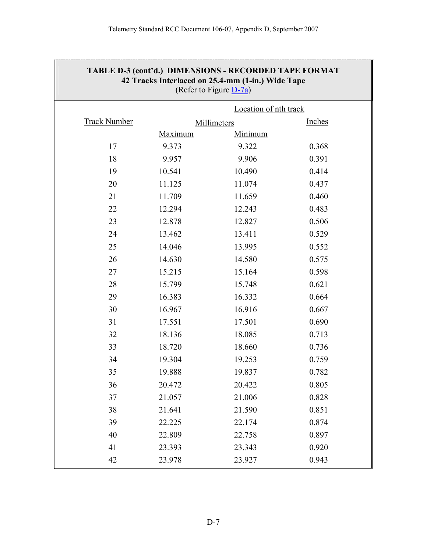| TABLE D-3 (cont'd.) DIMENSIONS - RECORDED TAPE FORMAT<br>42 Tracks Interlaced on 25.4-mm (1-in.) Wide Tape<br>(Refer to Figure $D-7a$ ) |         |                       |               |  |  |
|-----------------------------------------------------------------------------------------------------------------------------------------|---------|-----------------------|---------------|--|--|
|                                                                                                                                         |         | Location of nth track |               |  |  |
| <b>Track Number</b>                                                                                                                     |         | Millimeters           | <b>Inches</b> |  |  |
|                                                                                                                                         | Maximum | Minimum               |               |  |  |
| 17                                                                                                                                      | 9.373   | 9.322                 | 0.368         |  |  |
| 18                                                                                                                                      | 9.957   | 9.906                 | 0.391         |  |  |
| 19                                                                                                                                      | 10.541  | 10.490                | 0.414         |  |  |
| 20                                                                                                                                      | 11.125  | 11.074                | 0.437         |  |  |
| 21                                                                                                                                      | 11.709  | 11.659                | 0.460         |  |  |
| 22                                                                                                                                      | 12.294  | 12.243                | 0.483         |  |  |
| 23                                                                                                                                      | 12.878  | 12.827                | 0.506         |  |  |
| 24                                                                                                                                      | 13.462  | 13.411                | 0.529         |  |  |
| 25                                                                                                                                      | 14.046  | 13.995                | 0.552         |  |  |
| 26                                                                                                                                      | 14.630  | 14.580                | 0.575         |  |  |
| 27                                                                                                                                      | 15.215  | 15.164                | 0.598         |  |  |
| 28                                                                                                                                      | 15.799  | 15.748                | 0.621         |  |  |
| 29                                                                                                                                      | 16.383  | 16.332                | 0.664         |  |  |
| 30                                                                                                                                      | 16.967  | 16.916                | 0.667         |  |  |
| 31                                                                                                                                      | 17.551  | 17.501                | 0.690         |  |  |
| 32                                                                                                                                      | 18.136  | 18.085                | 0.713         |  |  |
| 33                                                                                                                                      | 18.720  | 18.660                | 0.736         |  |  |
| 34                                                                                                                                      | 19.304  | 19.253                | 0.759         |  |  |
| 35                                                                                                                                      | 19.888  | 19.837                | 0.782         |  |  |
| 36                                                                                                                                      | 20.472  | 20.422                | 0.805         |  |  |
| 37                                                                                                                                      | 21.057  | 21.006                | 0.828         |  |  |
| 38                                                                                                                                      | 21.641  | 21.590                | 0.851         |  |  |
| 39                                                                                                                                      | 22.225  | 22.174                | 0.874         |  |  |
| 40                                                                                                                                      | 22.809  | 22.758                | 0.897         |  |  |
| 41                                                                                                                                      | 23.393  | 23.343                | 0.920         |  |  |
| 42                                                                                                                                      | 23.978  | 23.927                | 0.943         |  |  |

# **TABLE D-3 (cont'd.) DIMENSIONS - RECORDED TAPE FORMAT**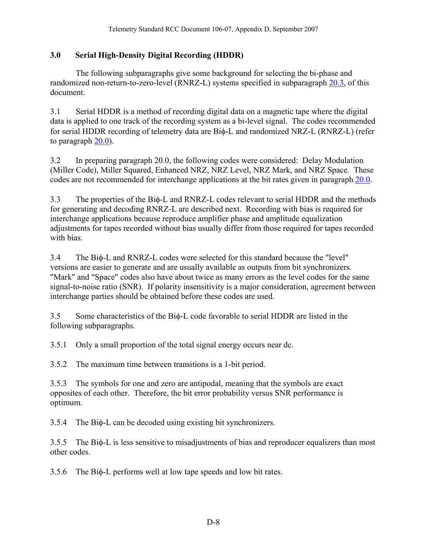#### <span id="page-9-0"></span>**3.0 Serial High-Density Digital Recording (HDDR)**

 The following subparagraphs give some background for selecting the bi-phase and randomized non-return-to-zero-level (RNRZ-L) systems specified in subparagraph [20.3](#page-42-0), of this document.

3.1 Serial HDDR is a method of recording digital data on a magnetic tape where the digital data is applied to one track of the recording system as a bi-level signal. The codes recommended for serial HDDR recording of telemetry data are Biφ-L and randomized NRZ-L (RNRZ-L) (refer to paragraph [20.0](#page-41-0)).

3.2 In preparing paragraph 20.0, the following codes were considered: Delay Modulation (Miller Code), Miller Squared, Enhanced NRZ, NRZ Level, NRZ Mark, and NRZ Space. These codes are not recommended for interchange applications at the bit rates given in paragraph [20.0.](#page-41-0)

3.3 The properties of the Biφ-L and RNRZ-L codes relevant to serial HDDR and the methods for generating and decoding RNRZ-L are described next. Recording with bias is required for interchange applications because reproduce amplifier phase and amplitude equalization adjustments for tapes recorded without bias usually differ from those required for tapes recorded with bias.

3.4 The Biφ-L and RNRZ-L codes were selected for this standard because the "level" versions are easier to generate and are usually available as outputs from bit synchronizers. "Mark" and "Space" codes also have about twice as many errors as the level codes for the same signal-to-noise ratio (SNR). If polarity insensitivity is a major consideration, agreement between interchange parties should be obtained before these codes are used.

3.5 Some characteristics of the Biφ-L code favorable to serial HDDR are listed in the following subparagraphs.

3.5.1 Only a small proportion of the total signal energy occurs near dc.

3.5.2 The maximum time between transitions is a 1-bit period.

3.5.3 The symbols for one and zero are antipodal, meaning that the symbols are exact opposites of each other. Therefore, the bit error probability versus SNR performance is optimum.

3.5.4 The Biφ-L can be decoded using existing bit synchronizers.

3.5.5 The Biφ-L is less sensitive to misadjustments of bias and reproducer equalizers than most other codes.

3.5.6 The Biφ-L performs well at low tape speeds and low bit rates.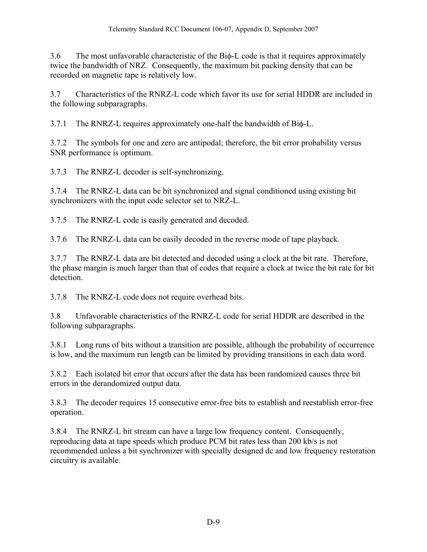3.6 The most unfavorable characteristic of the Biφ-L code is that it requires approximately twice the bandwidth of NRZ. Consequently, the maximum bit packing density that can be recorded on magnetic tape is relatively low.

3.7 Characteristics of the RNRZ-L code which favor its use for serial HDDR are included in the following subparagraphs.

3.7.1 The RNRZ-L requires approximately one-half the bandwidth of Biφ-L.

3.7.2 The symbols for one and zero are antipodal; therefore, the bit error probability versus SNR performance is optimum.

3.7.3 The RNRZ-L decoder is self-synchronizing.

3.7.4 The RNRZ-L data can be bit synchronized and signal conditioned using existing bit synchronizers with the input code selector set to NRZ-L.

3.7.5 The RNRZ-L code is easily generated and decoded.

3.7.6 The RNRZ-L data can be easily decoded in the reverse mode of tape playback.

3.7.7 The RNRZ-L data are bit detected and decoded using a clock at the bit rate. Therefore, the phase margin is much larger than that of codes that require a clock at twice the bit rate for bit detection.

3.7.8 The RNRZ-L code does not require overhead bits.

3.8 Unfavorable characteristics of the RNRZ-L code for serial HDDR are described in the following subparagraphs.

3.8.1 Long runs of bits without a transition are possible, although the probability of occurrence is low, and the maximum run length can be limited by providing transitions in each data word.

3.8.2 Each isolated bit error that occurs after the data has been randomized causes three bit errors in the derandomized output data.

3.8.3 The decoder requires 15 consecutive error-free bits to establish and reestablish error-free operation.

3.8.4 The RNRZ-L bit stream can have a large low frequency content. Consequently, reproducing data at tape speeds which produce PCM bit rates less than 200 kb/s is not recommended unless a bit synchronizer with specially designed dc and low frequency restoration circuitry is available.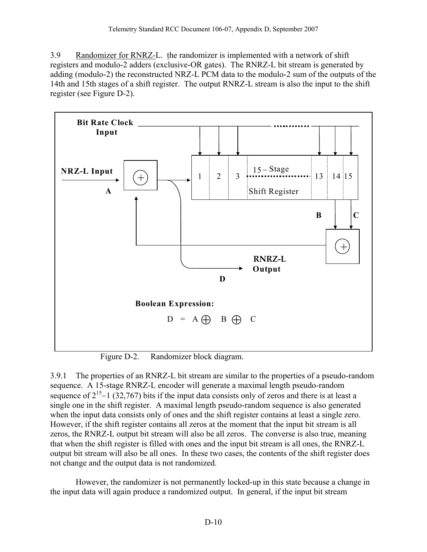<span id="page-11-0"></span>3.9 Randomizer for RNRZ-L. the randomizer is implemented with a network of shift registers and modulo-2 adders (exclusive-OR gates). The RNRZ-L bit stream is generated by adding (modulo-2) the reconstructed NRZ-L PCM data to the modulo-2 sum of the outputs of the 14th and 15th stages of a shift register. The output RNRZ-L stream is also the input to the shift register (see Figure D-2).



Figure D-2. Randomizer block diagram.

3.9.1 The properties of an RNRZ-L bit stream are similar to the properties of a pseudo-random sequence. A 15-stage RNRZ-L encoder will generate a maximal length pseudo-random sequence of  $2^{15}$ −1 (32,767) bits if the input data consists only of zeros and there is at least a single one in the shift register. A maximal length pseudo-random sequence is also generated when the input data consists only of ones and the shift register contains at least a single zero. However, if the shift register contains all zeros at the moment that the input bit stream is all zeros, the RNRZ-L output bit stream will also be all zeros. The converse is also true, meaning that when the shift register is filled with ones and the input bit stream is all ones, the RNRZ-L output bit stream will also be all ones. In these two cases, the contents of the shift register does not change and the output data is not randomized.

 However, the randomizer is not permanently locked-up in this state because a change in the input data will again produce a randomized output. In general, if the input bit stream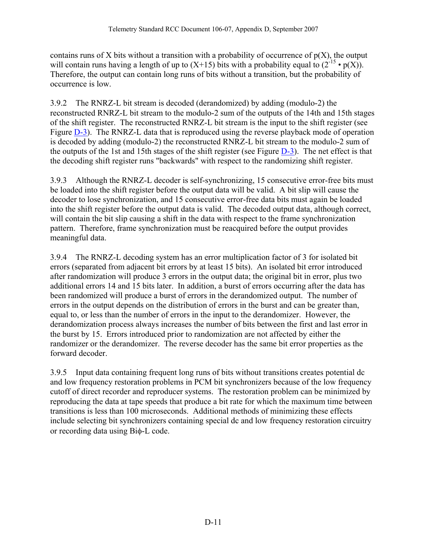contains runs of X bits without a transition with a probability of occurrence of  $p(X)$ , the output will contain runs having a length of up to  $(X+15)$  bits with a probability equal to  $(2^{-15} \cdot p(X))$ . Therefore, the output can contain long runs of bits without a transition, but the probability of occurrence is low.

3.9.2 The RNRZ-L bit stream is decoded (derandomized) by adding (modulo-2) the reconstructed RNRZ-L bit stream to the modulo-2 sum of the outputs of the 14th and 15th stages of the shift register. The reconstructed RNRZ-L bit stream is the input to the shift register (see Figure [D-3\)](#page-13-0). The RNRZ-L data that is reproduced using the reverse playback mode of operation is decoded by adding (modulo-2) the reconstructed RNRZ-L bit stream to the modulo-2 sum of the outputs of the 1st and 15th stages of the shift register (see Figure [D-3\)](#page-13-0). The net effect is that the decoding shift register runs "backwards" with respect to the randomizing shift register.

3.9.3 Although the RNRZ-L decoder is self-synchronizing, 15 consecutive error-free bits must be loaded into the shift register before the output data will be valid. A bit slip will cause the decoder to lose synchronization, and 15 consecutive error-free data bits must again be loaded into the shift register before the output data is valid. The decoded output data, although correct, will contain the bit slip causing a shift in the data with respect to the frame synchronization pattern. Therefore, frame synchronization must be reacquired before the output provides meaningful data.

3.9.4 The RNRZ-L decoding system has an error multiplication factor of 3 for isolated bit errors (separated from adjacent bit errors by at least 15 bits). An isolated bit error introduced after randomization will produce 3 errors in the output data; the original bit in error, plus two additional errors 14 and 15 bits later. In addition, a burst of errors occurring after the data has been randomized will produce a burst of errors in the derandomized output. The number of errors in the output depends on the distribution of errors in the burst and can be greater than, equal to, or less than the number of errors in the input to the derandomizer. However, the derandomization process always increases the number of bits between the first and last error in the burst by 15. Errors introduced prior to randomization are not affected by either the randomizer or the derandomizer. The reverse decoder has the same bit error properties as the forward decoder.

3.9.5 Input data containing frequent long runs of bits without transitions creates potential dc and low frequency restoration problems in PCM bit synchronizers because of the low frequency cutoff of direct recorder and reproducer systems. The restoration problem can be minimized by reproducing the data at tape speeds that produce a bit rate for which the maximum time between transitions is less than 100 microseconds. Additional methods of minimizing these effects include selecting bit synchronizers containing special dc and low frequency restoration circuitry or recording data using Biφ-L code.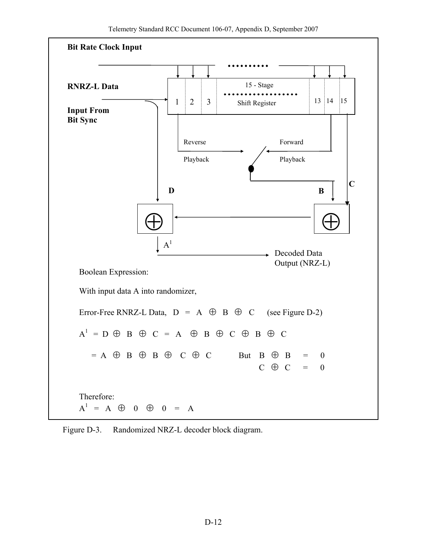<span id="page-13-0"></span>

Figure D-3. Randomized NRZ-L decoder block diagram.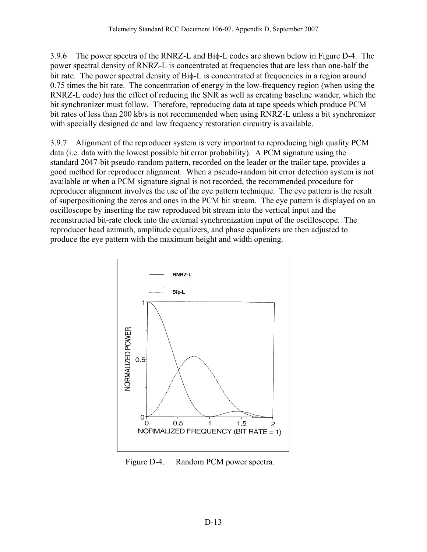<span id="page-14-0"></span>3.9.6 The power spectra of the RNRZ-L and Biφ-L codes are shown below in Figure D-4. The power spectral density of RNRZ-L is concentrated at frequencies that are less than one-half the bit rate. The power spectral density of Biφ-L is concentrated at frequencies in a region around 0.75 times the bit rate. The concentration of energy in the low-frequency region (when using the RNRZ-L code) has the effect of reducing the SNR as well as creating baseline wander, which the bit synchronizer must follow. Therefore, reproducing data at tape speeds which produce PCM bit rates of less than 200 kb/s is not recommended when using RNRZ-L unless a bit synchronizer with specially designed dc and low frequency restoration circuitry is available.

3.9.7 Alignment of the reproducer system is very important to reproducing high quality PCM data (i.e. data with the lowest possible bit error probability). A PCM signature using the standard 2047-bit pseudo-random pattern, recorded on the leader or the trailer tape, provides a good method for reproducer alignment. When a pseudo-random bit error detection system is not available or when a PCM signature signal is not recorded, the recommended procedure for reproducer alignment involves the use of the eye pattern technique. The eye pattern is the result of superpositioning the zeros and ones in the PCM bit stream. The eye pattern is displayed on an oscilloscope by inserting the raw reproduced bit stream into the vertical input and the reconstructed bit-rate clock into the external synchronization input of the oscilloscope. The reproducer head azimuth, amplitude equalizers, and phase equalizers are then adjusted to produce the eye pattern with the maximum height and width opening.



Figure D-4. Random PCM power spectra.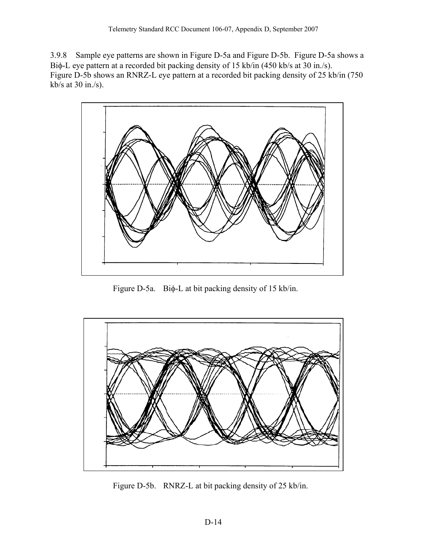<span id="page-15-0"></span>3.9.8 Sample eye patterns are shown in Figure D-5a and Figure D-5b. Figure D-5a shows a Biφ-L eye pattern at a recorded bit packing density of 15 kb/in (450 kb/s at 30 in./s). Figure D-5b shows an RNRZ-L eye pattern at a recorded bit packing density of 25 kb/in (750 kb/s at  $30$  in./s).



Figure D-5a. Biφ-L at bit packing density of 15 kb/in.



Figure D-5b. RNRZ-L at bit packing density of 25 kb/in.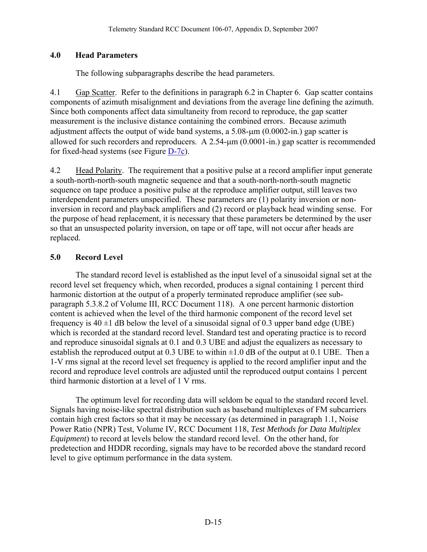## <span id="page-16-0"></span>**4.0 Head Parameters**

The following subparagraphs describe the head parameters.

4.1 Gap Scatter. Refer to the definitions in paragraph 6.2 in Chapter 6. Gap scatter contains components of azimuth misalignment and deviations from the average line defining the azimuth. Since both components affect data simultaneity from record to reproduce, the gap scatter measurement is the inclusive distance containing the combined errors. Because azimuth adjustment affects the output of wide band systems, a 5.08-μm (0.0002-in.) gap scatter is allowed for such recorders and reproducers. A 2.54-μm (0.0001-in.) gap scatter is recommended for fixed-head systems (see Figure [D-7c\)](#page-32-0).

4.2 Head Polarity. The requirement that a positive pulse at a record amplifier input generate a south-north-north-south magnetic sequence and that a south-north-north-south magnetic sequence on tape produce a positive pulse at the reproduce amplifier output, still leaves two interdependent parameters unspecified. These parameters are (1) polarity inversion or noninversion in record and playback amplifiers and (2) record or playback head winding sense. For the purpose of head replacement, it is necessary that these parameters be determined by the user so that an unsuspected polarity inversion, on tape or off tape, will not occur after heads are replaced.

# **5.0 Record Level**

 The standard record level is established as the input level of a sinusoidal signal set at the record level set frequency which, when recorded, produces a signal containing 1 percent third harmonic distortion at the output of a properly terminated reproduce amplifier (see subparagraph 5.3.8.2 of Volume III, RCC Document 118). A one percent harmonic distortion content is achieved when the level of the third harmonic component of the record level set frequency is  $40 \pm 1$  dB below the level of a sinusoidal signal of 0.3 upper band edge (UBE) which is recorded at the standard record level. Standard test and operating practice is to record and reproduce sinusoidal signals at 0.1 and 0.3 UBE and adjust the equalizers as necessary to establish the reproduced output at  $0.3 \text{ UBE}$  to within  $\pm 1.0 \text{ dB}$  of the output at  $0.1 \text{ UBE}$ . Then a 1-V rms signal at the record level set frequency is applied to the record amplifier input and the record and reproduce level controls are adjusted until the reproduced output contains 1 percent third harmonic distortion at a level of 1 V rms.

 The optimum level for recording data will seldom be equal to the standard record level. Signals having noise-like spectral distribution such as baseband multiplexes of FM subcarriers contain high crest factors so that it may be necessary (as determined in paragraph 1.1, Noise Power Ratio (NPR) Test, Volume IV, RCC Document 118, *Test Methods for Data Multiplex Equipment*) to record at levels below the standard record level. On the other hand, for predetection and HDDR recording, signals may have to be recorded above the standard record level to give optimum performance in the data system.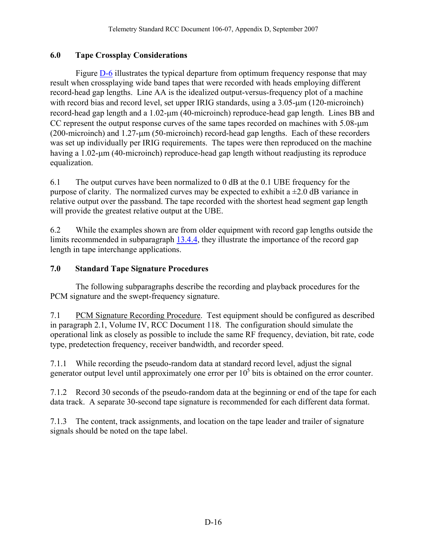## <span id="page-17-0"></span>**6.0 Tape Crossplay Considerations**

 Figure [D-6](#page-18-0) illustrates the typical departure from optimum frequency response that may result when crossplaying wide band tapes that were recorded with heads employing different record-head gap lengths. Line AA is the idealized output-versus-frequency plot of a machine with record bias and record level, set upper IRIG standards, using a 3.05-μm (120-microinch) record-head gap length and a 1.02-μm (40-microinch) reproduce-head gap length. Lines BB and CC represent the output response curves of the same tapes recorded on machines with 5.08-μm (200-microinch) and 1.27-μm (50-microinch) record-head gap lengths. Each of these recorders was set up individually per IRIG requirements. The tapes were then reproduced on the machine having a 1.02-μm (40-microinch) reproduce-head gap length without readjusting its reproduce equalization.

6.1 The output curves have been normalized to 0 dB at the 0.1 UBE frequency for the purpose of clarity. The normalized curves may be expected to exhibit a  $\pm 2.0$  dB variance in relative output over the passband. The tape recorded with the shortest head segment gap length will provide the greatest relative output at the UBE.

6.2 While the examples shown are from older equipment with record gap lengths outside the limits recommended in subparagraph [13.4.4](#page-25-0), they illustrate the importance of the record gap length in tape interchange applications.

## **7.0 Standard Tape Signature Procedures**

 The following subparagraphs describe the recording and playback procedures for the PCM signature and the swept-frequency signature.

7.1 PCM Signature Recording Procedure. Test equipment should be configured as described in paragraph 2.1, Volume IV, RCC Document 118. The configuration should simulate the operational link as closely as possible to include the same RF frequency, deviation, bit rate, code type, predetection frequency, receiver bandwidth, and recorder speed.

7.1.1 While recording the pseudo-random data at standard record level, adjust the signal generator output level until approximately one error per  $10<sup>5</sup>$  bits is obtained on the error counter.

7.1.2 Record 30 seconds of the pseudo-random data at the beginning or end of the tape for each data track. A separate 30-second tape signature is recommended for each different data format.

7.1.3 The content, track assignments, and location on the tape leader and trailer of signature signals should be noted on the tape label.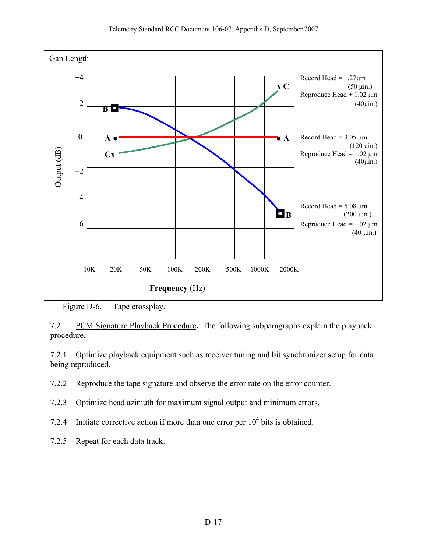<span id="page-18-0"></span>

7.2 PCM Signature Playback Procedure**.** The following subparagraphs explain the playback procedure.

7.2.1 Optimize playback equipment such as receiver tuning and bit synchronizer setup for data being reproduced.

- 7.2.2 Reproduce the tape signature and observe the error rate on the error counter.
- 7.2.3 Optimize head azimuth for maximum signal output and minimum errors.
- 7.2.4 Initiate corrective action if more than one error per  $10^4$  bits is obtained.
- 7.2.5 Repeat for each data track.

Figure D-6. Tape crossplay.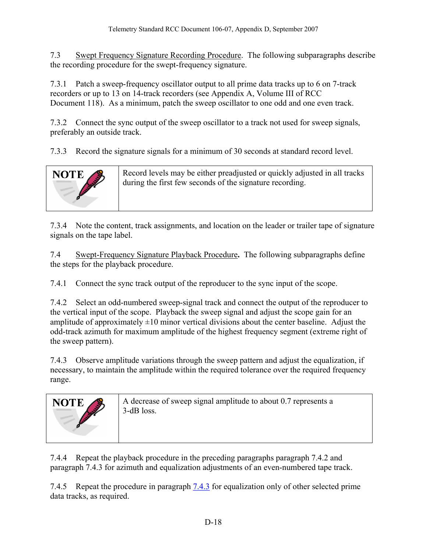<span id="page-19-0"></span>7.3 Swept Frequency Signature Recording Procedure. The following subparagraphs describe the recording procedure for the swept-frequency signature.

7.3.1 Patch a sweep-frequency oscillator output to all prime data tracks up to 6 on 7-track recorders or up to 13 on 14-track recorders (see Appendix A, Volume III of RCC Document 118). As a minimum, patch the sweep oscillator to one odd and one even track.

7.3.2 Connect the sync output of the sweep oscillator to a track not used for sweep signals, preferably an outside track.

7.3.3 Record the signature signals for a minimum of 30 seconds at standard record level.



Record levels may be either preadjusted or quickly adjusted in all tracks during the first few seconds of the signature recording.

7.3.4 Note the content, track assignments, and location on the leader or trailer tape of signature signals on the tape label.

7.4 Swept-Frequency Signature Playback Procedure**.** The following subparagraphs define the steps for the playback procedure.

7.4.1 Connect the sync track output of the reproducer to the sync input of the scope.

7.4.2 Select an odd-numbered sweep-signal track and connect the output of the reproducer to the vertical input of the scope. Playback the sweep signal and adjust the scope gain for an amplitude of approximately  $\pm 10$  minor vertical divisions about the center baseline. Adjust the odd-track azimuth for maximum amplitude of the highest frequency segment (extreme right of the sweep pattern).

7.4.3 Observe amplitude variations through the sweep pattern and adjust the equalization, if necessary, to maintain the amplitude within the required tolerance over the required frequency range.



7.4.4 Repeat the playback procedure in the preceding paragraphs paragraph 7.4.2 and paragraph 7.4.3 for azimuth and equalization adjustments of an even-numbered tape track.

7.4.5 Repeat the procedure in paragraph [7.4.3](#page-19-0) for equalization only of other selected prime data tracks, as required.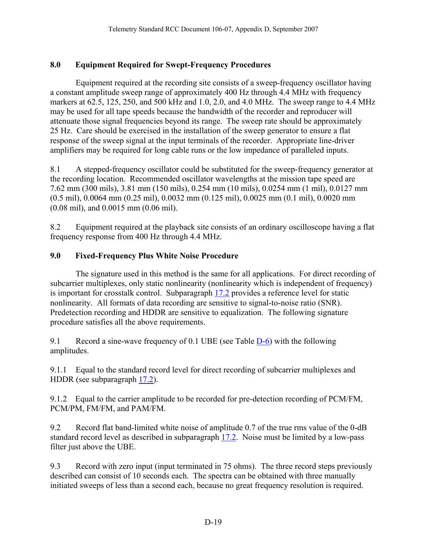## <span id="page-20-0"></span>**8.0 Equipment Required for Swept-Frequency Procedures**

 Equipment required at the recording site consists of a sweep-frequency oscillator having a constant amplitude sweep range of approximately 400 Hz through 4.4 MHz with frequency markers at 62.5, 125, 250, and 500 kHz and 1.0, 2.0, and 4.0 MHz. The sweep range to 4.4 MHz may be used for all tape speeds because the bandwidth of the recorder and reproducer will attenuate those signal frequencies beyond its range. The sweep rate should be approximately 25 Hz. Care should be exercised in the installation of the sweep generator to ensure a flat response of the sweep signal at the input terminals of the recorder. Appropriate line-driver amplifiers may be required for long cable runs or the low impedance of paralleled inputs.

8.1 A stepped-frequency oscillator could be substituted for the sweep-frequency generator at the recording location. Recommended oscillator wavelengths at the mission tape speed are 7.62 mm (300 mils), 3.81 mm (150 mils), 0.254 mm (10 mils), 0.0254 mm (1 mil), 0.0127 mm (0.5 mil), 0.0064 mm (0.25 mil), 0.0032 mm (0.125 mil), 0.0025 mm (0.1 mil), 0.0020 mm (0.08 mil), and 0.0015 mm (0.06 mil).

8.2 Equipment required at the playback site consists of an ordinary oscilloscope having a flat frequency response from 400 Hz through 4.4 MHz.

## **9.0 Fixed-Frequency Plus White Noise Procedure**

 The signature used in this method is the same for all applications. For direct recording of subcarrier multiplexes, only static nonlinearity (nonlinearity which is independent of frequency) is important for crosstalk control. Subparagraph [17.2](#page-36-0) provides a reference level for static nonlinearity. All formats of data recording are sensitive to signal-to-noise ratio (SNR). Predetection recording and HDDR are sensitive to equalization. The following signature procedure satisfies all the above requirements.

9.1 Record a sine-wave frequency of 0.1 UBE (see Table  $D=6$ ) with the following amplitudes.

9.1.1 Equal to the standard record level for direct recording of subcarrier multiplexes and HDDR (see subparagraph [17.2\)](#page-36-0).

9.1.2 Equal to the carrier amplitude to be recorded for pre-detection recording of PCM/FM, PCM/PM, FM/FM, and PAM/FM.

9.2 Record flat band-limited white noise of amplitude 0.7 of the true rms value of the 0-dB standard record level as described in subparagraph [17.2.](#page-36-0) Noise must be limited by a low-pass filter just above the UBE.

9.3 Record with zero input (input terminated in 75 ohms). The three record steps previously described can consist of 10 seconds each. The spectra can be obtained with three manually initiated sweeps of less than a second each, because no great frequency resolution is required.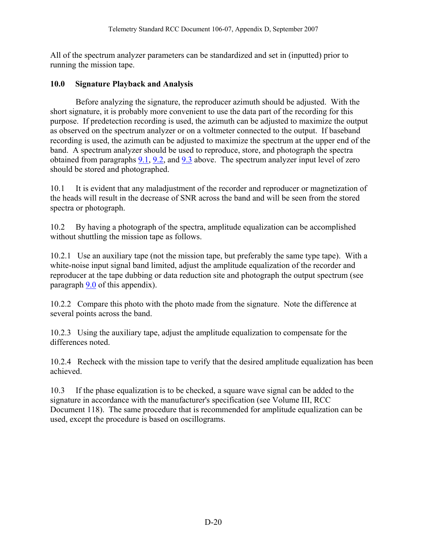<span id="page-21-0"></span>All of the spectrum analyzer parameters can be standardized and set in (inputted) prior to running the mission tape.

#### **10.0 Signature Playback and Analysis**

 Before analyzing the signature, the reproducer azimuth should be adjusted. With the short signature, it is probably more convenient to use the data part of the recording for this purpose. If predetection recording is used, the azimuth can be adjusted to maximize the output as observed on the spectrum analyzer or on a voltmeter connected to the output. If baseband recording is used, the azimuth can be adjusted to maximize the spectrum at the upper end of the band. A spectrum analyzer should be used to reproduce, store, and photograph the spectra obtained from paragraphs [9.1](#page-20-0), [9.2](#page-20-0), and [9.3](#page-20-0) above. The spectrum analyzer input level of zero should be stored and photographed.

10.1 It is evident that any maladjustment of the recorder and reproducer or magnetization of the heads will result in the decrease of SNR across the band and will be seen from the stored spectra or photograph.

10.2 By having a photograph of the spectra, amplitude equalization can be accomplished without shuttling the mission tape as follows.

10.2.1 Use an auxiliary tape (not the mission tape, but preferably the same type tape). With a white-noise input signal band limited, adjust the amplitude equalization of the recorder and reproducer at the tape dubbing or data reduction site and photograph the output spectrum (see paragraph [9.0](#page-20-0) of this appendix).

10.2.2 Compare this photo with the photo made from the signature. Note the difference at several points across the band.

10.2.3 Using the auxiliary tape, adjust the amplitude equalization to compensate for the differences noted.

10.2.4 Recheck with the mission tape to verify that the desired amplitude equalization has been achieved.

10.3 If the phase equalization is to be checked, a square wave signal can be added to the signature in accordance with the manufacturer's specification (see Volume III, RCC Document 118). The same procedure that is recommended for amplitude equalization can be used, except the procedure is based on oscillograms.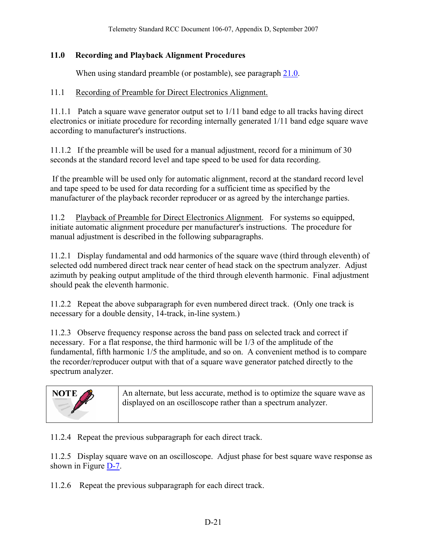#### <span id="page-22-0"></span>**11.0 Recording and Playback Alignment Procedures**

When using standard preamble (or postamble), see paragraph [21.0](#page-46-0).

#### 11.1 Recording of Preamble for Direct Electronics Alignment.

11.1.1 Patch a square wave generator output set to 1/11 band edge to all tracks having direct electronics or initiate procedure for recording internally generated 1/11 band edge square wave according to manufacturer's instructions.

11.1.2 If the preamble will be used for a manual adjustment, record for a minimum of 30 seconds at the standard record level and tape speed to be used for data recording.

 If the preamble will be used only for automatic alignment, record at the standard record level and tape speed to be used for data recording for a sufficient time as specified by the manufacturer of the playback recorder reproducer or as agreed by the interchange parties.

11.2 Playback of Preamble for Direct Electronics Alignment. For systems so equipped, initiate automatic alignment procedure per manufacturer's instructions. The procedure for manual adjustment is described in the following subparagraphs.

11.2.1 Display fundamental and odd harmonics of the square wave (third through eleventh) of selected odd numbered direct track near center of head stack on the spectrum analyzer. Adjust azimuth by peaking output amplitude of the third through eleventh harmonic. Final adjustment should peak the eleventh harmonic.

11.2.2 Repeat the above subparagraph for even numbered direct track. (Only one track is necessary for a double density, 14-track, in-line system.)

11.2.3 Observe frequency response across the band pass on selected track and correct if necessary. For a flat response, the third harmonic will be 1/3 of the amplitude of the fundamental, fifth harmonic 1/5 the amplitude, and so on. A convenient method is to compare the recorder/reproducer output with that of a square wave generator patched directly to the spectrum analyzer.

| NOTE | An alternate, but less accurate, method is to optimize the square wave as<br>displayed on an oscilloscope rather than a spectrum analyzer. |
|------|--------------------------------------------------------------------------------------------------------------------------------------------|
|      |                                                                                                                                            |

11.2.4 Repeat the previous subparagraph for each direct track.

11.2.5 Display square wave on an oscilloscope. Adjust phase for best square wave response as shown in Figure [D-7.](#page-23-0)

11.2.6 Repeat the previous subparagraph for each direct track.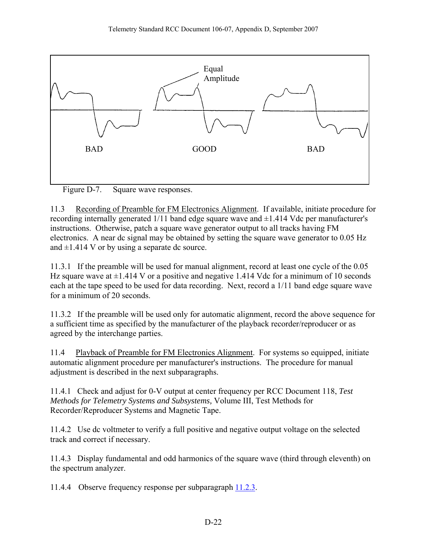<span id="page-23-0"></span>

Figure D-7. Square wave responses.

11.3 Recording of Preamble for FM Electronics Alignment. If available, initiate procedure for recording internally generated  $1/11$  band edge square wave and  $\pm 1.414$  Vdc per manufacturer's instructions. Otherwise, patch a square wave generator output to all tracks having FM electronics. A near dc signal may be obtained by setting the square wave generator to 0.05 Hz and  $\pm$ 1.414 V or by using a separate dc source.

11.3.1 If the preamble will be used for manual alignment, record at least one cycle of the 0.05 Hz square wave at  $\pm$ 1.414 V or a positive and negative 1.414 Vdc for a minimum of 10 seconds each at the tape speed to be used for data recording. Next, record a 1/11 band edge square wave for a minimum of 20 seconds.

11.3.2 If the preamble will be used only for automatic alignment, record the above sequence for a sufficient time as specified by the manufacturer of the playback recorder/reproducer or as agreed by the interchange parties.

11.4 Playback of Preamble for FM Electronics Alignment. For systems so equipped, initiate automatic alignment procedure per manufacturer's instructions. The procedure for manual adjustment is described in the next subparagraphs.

11.4.1 Check and adjust for 0-V output at center frequency per RCC Document 118, *Test Methods for Telemetry Systems and Subsystems,* Volume III, Test Methods for Recorder/Reproducer Systems and Magnetic Tape.

11.4.2 Use dc voltmeter to verify a full positive and negative output voltage on the selected track and correct if necessary.

11.4.3 Display fundamental and odd harmonics of the square wave (third through eleventh) on the spectrum analyzer.

11.4.4 Observe frequency response per subparagraph [11.2.3](#page-22-0).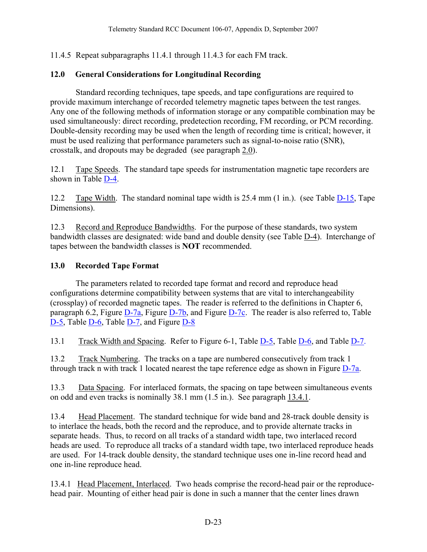<span id="page-24-0"></span>11.4.5 Repeat subparagraphs 11.4.1 through 11.4.3 for each FM track.

## **12.0 General Considerations for Longitudinal Recording**

 Standard recording techniques, tape speeds, and tape configurations are required to provide maximum interchange of recorded telemetry magnetic tapes between the test ranges. Any one of the following methods of information storage or any compatible combination may be used simultaneously: direct recording, predetection recording, FM recording, or PCM recording. Double-density recording may be used when the length of recording time is critical; however, it must be used realizing that performance parameters such as signal-to-noise ratio (SNR), crosstalk, and dropouts may be degraded (see paragraph [2.0](#page-2-0)).

12.1 Tape Speeds. The standard tape speeds for instrumentation magnetic tape recorders are shown in Table [D-4.](#page-26-0)

12.2 Tape Width. The standard nominal tape width is 25.4 mm (1 in.). (see Table [D-15,](#page-54-0) Tape Dimensions).

12.3 Record and Reproduce Bandwidths. For the purpose of these standards, two system bandwidth classes are designated: wide band and double density (see Table [D-4\)](#page-26-0). Interchange of tapes between the bandwidth classes is **NOT** recommended.

#### **13.0 Recorded Tape Format**

 The parameters related to recorded tape format and record and reproduce head configurations determine compatibility between systems that are vital to interchangeability (crossplay) of recorded magnetic tapes. The reader is referred to the definitions in Chapter 6, paragraph 6.2, Figure [D-7a](#page-30-0), Figure [D-7b](#page-31-0), and Figure [D-7c.](#page-32-0) The reader is also referred to, Table [D-5,](#page-27-0) Table [D-6,](#page-28-0) Table [D-7,](#page-23-0) and Figure D-8

13.1 Track Width and Spacing. Refer to Figure 6-1, Table [D-5,](#page-27-0) Table [D-6,](#page-28-0) and Table [D-7.](#page-29-0)

13.2 Track Numbering. The tracks on a tape are numbered consecutively from track 1 through track n with track 1 located nearest the tape reference edge as shown in Figure [D-7a](#page-30-0).

13.3 Data Spacing. For interlaced formats, the spacing on tape between simultaneous events on odd and even tracks is nominally 38.1 mm (1.5 in.). See paragraph [13.4.1.](#page-24-0)

13.4 Head Placement. The standard technique for wide band and 28-track double density is to interlace the heads, both the record and the reproduce, and to provide alternate tracks in separate heads. Thus, to record on all tracks of a standard width tape, two interlaced record heads are used. To reproduce all tracks of a standard width tape, two interlaced reproduce heads are used. For 14-track double density, the standard technique uses one in-line record head and one in-line reproduce head.

13.4.1 Head Placement, Interlaced. Two heads comprise the record-head pair or the reproducehead pair. Mounting of either head pair is done in such a manner that the center lines drawn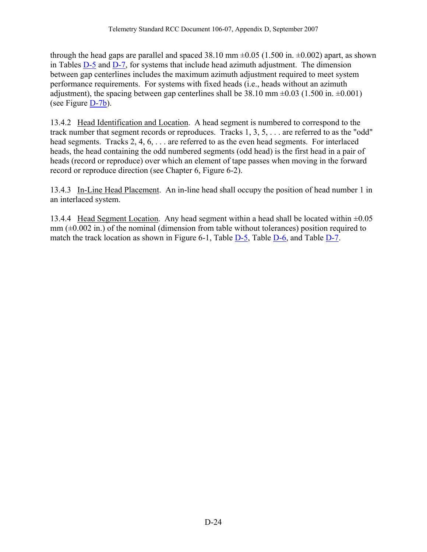<span id="page-25-0"></span>through the head gaps are parallel and spaced 38.10 mm  $\pm 0.05$  (1.500 in.  $\pm 0.002$ ) apart, as shown in Tables [D-5](#page-27-0) and [D-7](#page-29-0), for systems that include head azimuth adjustment. The dimension between gap centerlines includes the maximum azimuth adjustment required to meet system performance requirements. For systems with fixed heads (i.e., heads without an azimuth adjustment), the spacing between gap centerlines shall be  $38.10 \text{ mm} \pm 0.03$  (1.500 in.  $\pm 0.001$ ) (see Figure [D-7b](#page-31-0)).

13.4.2 Head Identification and Location. A head segment is numbered to correspond to the track number that segment records or reproduces. Tracks 1, 3, 5, . . . are referred to as the "odd" head segments. Tracks 2, 4, 6, . . . are referred to as the even head segments. For interlaced heads, the head containing the odd numbered segments (odd head) is the first head in a pair of heads (record or reproduce) over which an element of tape passes when moving in the forward record or reproduce direction (see Chapter 6, Figure 6-2).

13.4.3 In-Line Head Placement. An in-line head shall occupy the position of head number 1 in an interlaced system.

13.4.4 Head Segment Location. Any head segment within a head shall be located within  $\pm 0.05$  $mm (\pm 0.002 \text{ in.})$  of the nominal (dimension from table without tolerances) position required to match the track location as shown in Figure 6-1, Table [D-5,](#page-27-0) Table [D-6,](#page-28-0) and Table [D-7.](#page-29-0)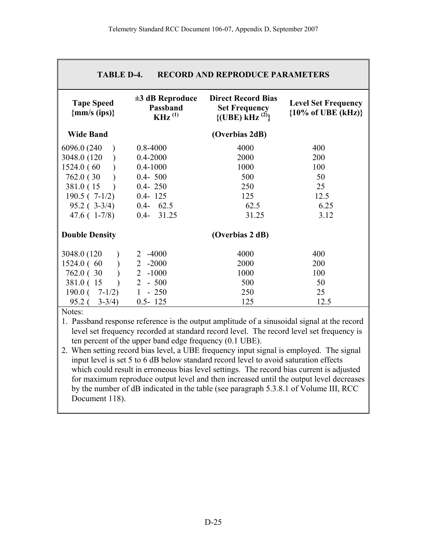<span id="page-26-0"></span>

| <b>TABLE D-4.</b><br><b>RECORD AND REPRODUCE PARAMETERS</b> |                                                 |                                                                                           |                                                             |  |
|-------------------------------------------------------------|-------------------------------------------------|-------------------------------------------------------------------------------------------|-------------------------------------------------------------|--|
| <b>Tape Speed</b><br>${mm/s (ips)}$                         | $\pm 3$ dB Reproduce<br>Passband<br>$KHz^{(1)}$ | <b>Direct Record Bias</b><br><b>Set Frequency</b><br>$\{(\text{UBE}) \text{ kHz}^{(2)}\}$ | <b>Level Set Frequency</b><br>${10\% \text{ of UBE (kHz)}}$ |  |
| <b>Wide Band</b>                                            |                                                 | (Overbias 2dB)                                                                            |                                                             |  |
| 6096.0 (240)                                                | $0.8 - 4000$                                    | 4000                                                                                      | 400                                                         |  |
| 3048.0 (120)                                                | $0.4 - 2000$                                    | 2000                                                                                      | 200                                                         |  |
| 1524.0(60)                                                  | $0.4 - 1000$                                    | 1000                                                                                      | 100                                                         |  |
| 762.0 (30)                                                  | $0.4 - 500$                                     | 500                                                                                       | 50                                                          |  |
| 381.0 (15)                                                  | $0.4 - 250$                                     | 250                                                                                       | 25                                                          |  |
| $190.5(7-1/2)$                                              | $0.4 - 125$                                     | 125                                                                                       | 12.5                                                        |  |
| $95.2$ ( $3-3/4$ )                                          | $0.4 - 62.5$                                    | 62.5                                                                                      | 6.25                                                        |  |
| $47.6(1-7/8)$                                               | $0.4 - 31.25$                                   | 31.25                                                                                     | 3.12                                                        |  |
| <b>Double Density</b>                                       |                                                 | (Overbias 2 dB)                                                                           |                                                             |  |
| 3048.0 (120)                                                | $-4000$<br>2                                    | 4000                                                                                      | 400                                                         |  |
| 1524.0 (60                                                  | $\overline{2}$<br>$-2000$                       | 2000                                                                                      | 200                                                         |  |
| 762.0 (30)                                                  | $\overline{2}$<br>$-1000$                       | 1000                                                                                      | 100                                                         |  |
| 381.0 (15                                                   | $\overline{2}$<br>$-500$                        | 500                                                                                       | 50                                                          |  |
| $190.0$ ( $7-1/2$ )                                         | $1 - 250$                                       | 250                                                                                       | 25                                                          |  |
| $95.2$ (<br>$3 - 3/4$ )                                     | $0.5 - 125$                                     | 125                                                                                       | 12.5                                                        |  |

Notes:

1. Passband response reference is the output amplitude of a sinusoidal signal at the record level set frequency recorded at standard record level. The record level set frequency is ten percent of the upper band edge frequency (0.1 UBE).

2. When setting record bias level, a UBE frequency input signal is employed. The signal input level is set 5 to 6 dB below standard record level to avoid saturation effects which could result in erroneous bias level settings. The record bias current is adjusted for maximum reproduce output level and then increased until the output level decreases by the number of dB indicated in the table (see paragraph 5.3.8.1 of Volume III, RCC Document 118).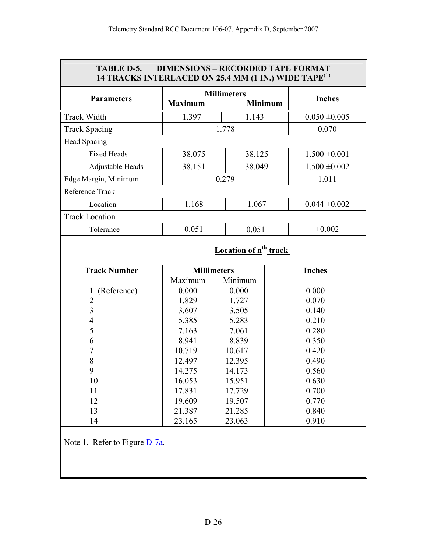<span id="page-27-0"></span>

| <b>DIMENSIONS - RECORDED TAPE FORMAT</b><br><b>TABLE D-5.</b><br>14 TRACKS INTERLACED ON 25.4 MM (1 IN.) WIDE TAPE <sup>(1)</sup> |                |                                         |                   |  |
|-----------------------------------------------------------------------------------------------------------------------------------|----------------|-----------------------------------------|-------------------|--|
| <b>Parameters</b>                                                                                                                 | <b>Maximum</b> | <b>Millimeters</b><br><b>Minimum</b>    | <b>Inches</b>     |  |
| <b>Track Width</b>                                                                                                                | 1.397          | 1.143                                   | $0.050 \pm 0.005$ |  |
| <b>Track Spacing</b>                                                                                                              |                | 1.778                                   | 0.070             |  |
| Head Spacing                                                                                                                      |                |                                         |                   |  |
| <b>Fixed Heads</b>                                                                                                                | 38.075         | 38.125                                  | $1.500 \pm 0.001$ |  |
| Adjustable Heads                                                                                                                  | 38.151         | 38.049                                  | $1.500 \pm 0.002$ |  |
| Edge Margin, Minimum                                                                                                              |                | 0.279                                   | 1.011             |  |
| Reference Track                                                                                                                   |                |                                         |                   |  |
| Location                                                                                                                          | 1.168          | 1.067                                   | $0.044 \pm 0.002$ |  |
| <b>Track Location</b>                                                                                                             |                |                                         |                   |  |
| Tolerance                                                                                                                         | 0.051          | $-0.051$                                | ±0.002            |  |
|                                                                                                                                   |                | <b>Location of n<sup>th</sup></b> track |                   |  |
| <b>Track Number</b>                                                                                                               | Maximum        | <b>Millimeters</b><br>Minimum           | <b>Inches</b>     |  |
| (Reference)<br>$\mathbf{1}$                                                                                                       | 0.000          | 0.000                                   | 0.000             |  |
| $\overline{2}$                                                                                                                    | 1.829          | 1.727                                   | 0.070             |  |
| $\overline{3}$                                                                                                                    | 3.607          | 3.505                                   | 0.140             |  |
| $\overline{4}$                                                                                                                    | 5.385          | 5.283                                   | 0.210             |  |
| 5                                                                                                                                 | 7.163          | 7.061                                   | 0.280             |  |
| 6                                                                                                                                 | 8.941          | 8.839                                   | 0.350             |  |
| $\overline{7}$                                                                                                                    | 10.719         | 10.617                                  | 0.420             |  |
| 8                                                                                                                                 | 12.497         | 12.395                                  | 0.490             |  |
| 9                                                                                                                                 | 14.275         | 14.173                                  | 0.560             |  |
| 10                                                                                                                                | 16.053         | 15.951                                  | 0.630             |  |
| 11                                                                                                                                | 17.831         | 17.729                                  | 0.700             |  |
| 12                                                                                                                                | 19.609         | 19.507                                  | 0.770             |  |
| 13                                                                                                                                | 21.387         | 21.285                                  | 0.840             |  |
| 14                                                                                                                                | 23.165         | 23.063                                  | 0.910             |  |
| Note 1. Refer to Figure $D-7a$ .                                                                                                  |                |                                         |                   |  |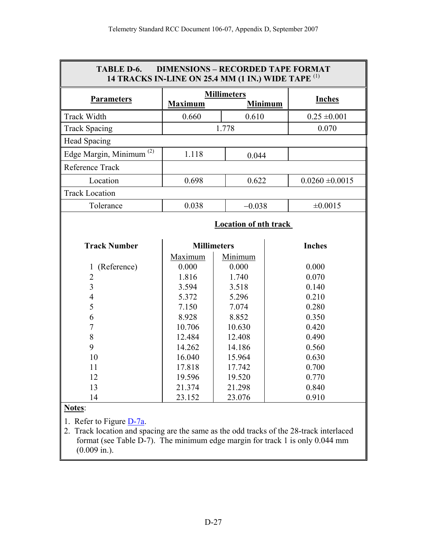<span id="page-28-0"></span>

|                                     |                | <b>Millimeters</b>           |                     |
|-------------------------------------|----------------|------------------------------|---------------------|
| <b>Parameters</b>                   | <b>Maximum</b> | <b>Minimum</b>               | <b>Inches</b>       |
| Track Width                         | 0.660          | 0.610                        | $0.25 \pm 0.001$    |
| <b>Track Spacing</b>                |                | 1.778                        | 0.070               |
| <b>Head Spacing</b>                 |                |                              |                     |
| Edge Margin, Minimum <sup>(2)</sup> | 1.118          | 0.044                        |                     |
| Reference Track                     |                |                              |                     |
| Location                            | 0.698          | 0.622                        | $0.0260 \pm 0.0015$ |
| <b>Track Location</b>               |                |                              |                     |
| Tolerance                           | 0.038          | $-0.038$                     | $\pm 0.0015$        |
|                                     |                | <b>Location of nth track</b> |                     |
|                                     |                |                              |                     |
| <b>Track Number</b>                 |                | <b>Millimeters</b>           | <b>Inches</b>       |
|                                     | Maximum        | Minimum                      |                     |
| (Reference)<br>$\mathbf{I}$         | 0.000          | 0.000                        | 0.000               |
| $\overline{2}$                      | 1.816          | 1.740                        | 0.070               |
| $\overline{3}$                      | 3.594          | 3.518                        | 0.140               |
| 4                                   | 5.372          | 5.296                        | 0.210               |
| 5                                   | 7.150          | 7.074                        | 0.280               |
| 6                                   | 8.928          | 8.852                        | 0.350               |
| $\overline{7}$                      | 10.706         | 10.630                       | 0.420               |
| 8                                   | 12.484         | 12.408                       | 0.490               |
| 9                                   | 14.262         | 14.186                       | 0.560               |
| 10                                  | 16.040         | 15.964                       | 0.630               |
| 11                                  | 17.818         | 17.742                       | 0.700               |
| 12                                  | 19.596         | 19.520                       | 0.770               |
| 13                                  | 21.374         | 21.298                       | 0.840               |
| 14                                  | 23.152         | 23.076                       | 0.910               |

2. Track location and spacing are the same as the odd tracks of the 28-track interlaced format (see Table [D-7](#page-29-0)). The minimum edge margin for track 1 is only 0.044 mm (0.009 in.).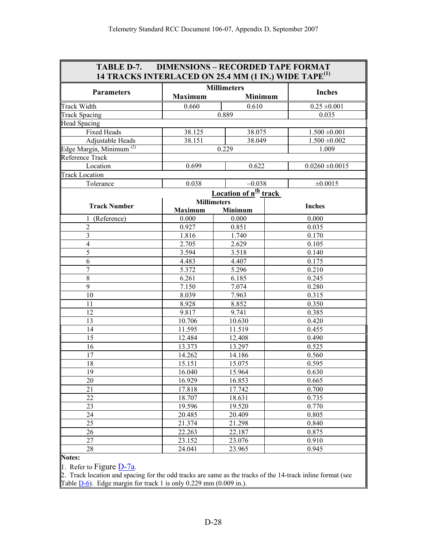<span id="page-29-0"></span>

| <b>TABLE D-7. DIMENSIONS - RECORDED TAPE FORMAT</b><br>14 TRACKS INTERLACED ON 25.4 MM (1 IN.) WIDE TAPE <sup>(1)</sup> |                    |                                   |                     |
|-------------------------------------------------------------------------------------------------------------------------|--------------------|-----------------------------------|---------------------|
|                                                                                                                         |                    | <b>Millimeters</b>                |                     |
| <b>Parameters</b>                                                                                                       | <b>Maximum</b>     | <b>Minimum</b>                    | <b>Inches</b>       |
| <b>Track Width</b>                                                                                                      | 0.660              | 0.610                             | $0.25 \pm 0.001$    |
| <b>Track Spacing</b>                                                                                                    |                    | 0.889                             | 0.035               |
| <b>Head Spacing</b>                                                                                                     |                    |                                   |                     |
| Fixed Heads                                                                                                             | 38.125             | 38.075                            | $1.500 \pm 0.001$   |
| Adjustable Heads                                                                                                        | 38.151             | 38.049                            | $1.500 \pm 0.002$   |
| Edge Margin, Minimum <sup>(2)</sup>                                                                                     |                    | 0.229                             | 1.009               |
| Reference Track                                                                                                         |                    |                                   |                     |
| Location                                                                                                                | 0.699              | 0.622                             | $0.0260 \pm 0.0015$ |
| <b>Track Location</b>                                                                                                   |                    |                                   |                     |
| Tolerance                                                                                                               | 0.038              | $-0.038$                          | $\pm 0.0015$        |
|                                                                                                                         |                    | Location of n <sup>th</sup> track |                     |
|                                                                                                                         | <b>Millimeters</b> |                                   |                     |
| <b>Track Number</b>                                                                                                     | <b>Maximum</b>     | Minimum                           | <b>Inches</b>       |
| 1 (Reference)                                                                                                           | 0.000              | 0.000                             | 0.000               |
| $\overline{2}$                                                                                                          | 0.927              | 0.851                             | 0.035               |
| 3                                                                                                                       | 1.816              | 1.740                             | 0.170               |
| $\overline{4}$                                                                                                          | 2.705              | 2.629                             | 0.105               |
| 5                                                                                                                       | 3.594              | 3.518                             | 0.140               |
| 6                                                                                                                       | 4.483              | 4.407                             | 0.175               |
| $\overline{7}$                                                                                                          | 5.372              | 5.296                             | 0.210               |
| 8                                                                                                                       | 6.261              | 6.185                             | 0.245               |
| 9                                                                                                                       | 7.150              | 7.074                             | 0.280               |
| 10                                                                                                                      | 8.039              | 7.963                             | 0.315               |
| 11                                                                                                                      | 8.928              | 8.852                             | 0.350               |
| 12                                                                                                                      | 9.817              | 9.741                             | 0.385               |
| 13                                                                                                                      | 10.706             | 10.630                            | 0.420               |
| 14                                                                                                                      | 11.595             | 11.519                            | 0.455               |
| 15                                                                                                                      | 12.484             | 12.408                            | 0.490               |
| 16                                                                                                                      | 13.373             | 13.297                            | 0.525               |
| 17                                                                                                                      | 14.262             | 14.186                            | 0.560               |
| 18                                                                                                                      | 15.151             | 15.075                            | 0.595               |
| 19                                                                                                                      | 16.040             | 15.964                            | 0.630               |
| 20                                                                                                                      | 16.929             | 16.853                            | 0.665               |
| 21                                                                                                                      | 17.818             | 17.742                            | 0.700               |
| 22                                                                                                                      | 18.707             | 18.631                            | 0.735               |
| 23                                                                                                                      | 19.596             | 19.520                            | 0.770               |
| 24                                                                                                                      | 20.485             | 20.409                            | 0.805               |
| 25                                                                                                                      | 21.374             | 21.298                            | 0.840               |
| 26                                                                                                                      | 22.263             | 22.187                            | 0.875               |
| 27                                                                                                                      | 23.152             | 23.076                            | 0.910               |
| 28                                                                                                                      | 24.041             | 23.965                            | 0.945               |

**Notes:** 

1. Refer to Figure  $D-7a$ .

2. Track location and spacing for the odd tracks are same as the tracks of the 14-track inline format (see Table  $D-6$ ). Edge margin for track 1 is only 0.229 mm (0.009 in.).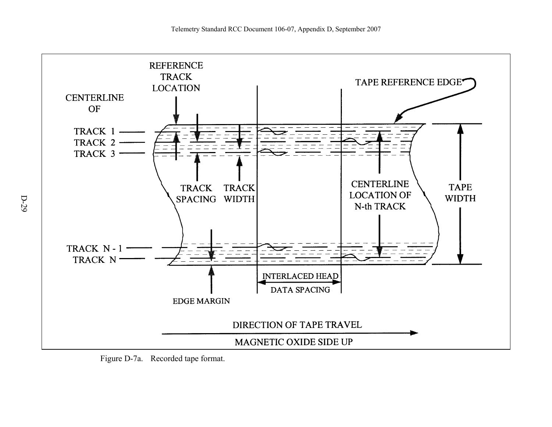

<span id="page-30-0"></span>Figure D-7a. Recorded tape format.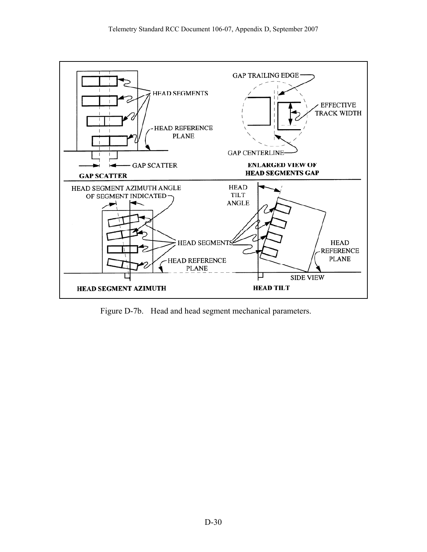<span id="page-31-0"></span>

Figure D-7b. Head and head segment mechanical parameters.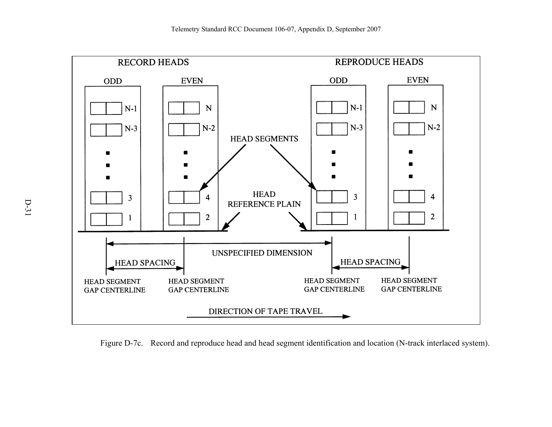

<span id="page-32-0"></span>Figure D-7c. Record and reproduce head and head segment identification and location (N-track interlaced system).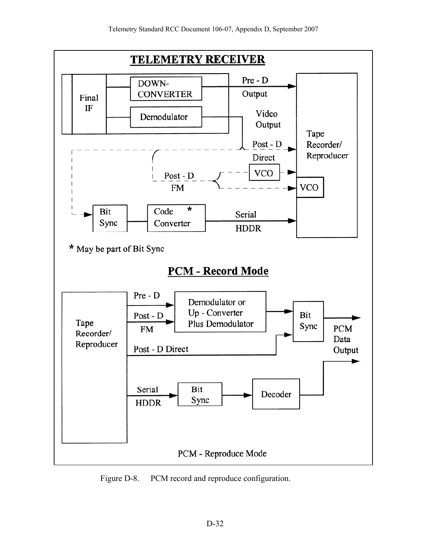<span id="page-33-0"></span>

Figure D-8. PCM record and reproduce configuration.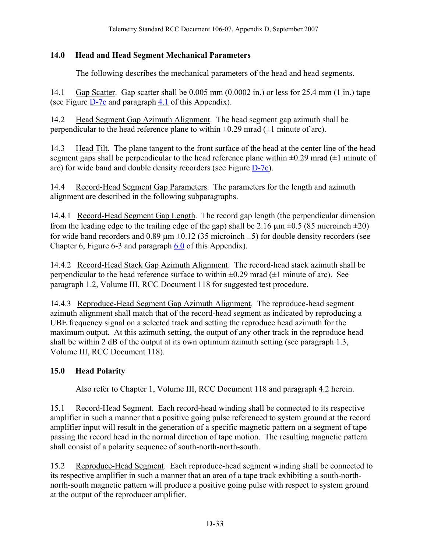## <span id="page-34-0"></span>**14.0 Head and Head Segment Mechanical Parameters**

The following describes the mechanical parameters of the head and head segments.

14.1 Gap Scatter. Gap scatter shall be 0.005 mm (0.0002 in.) or less for 25.4 mm (1 in.) tape (see Figure [D-7c](#page-32-0) and paragraph [4.1](#page-16-0) of this Appendix).

14.2 Head Segment Gap Azimuth Alignment. The head segment gap azimuth shall be perpendicular to the head reference plane to within  $\pm 0.29$  mrad ( $\pm 1$  minute of arc).

14.3 Head Tilt. The plane tangent to the front surface of the head at the center line of the head segment gaps shall be perpendicular to the head reference plane within  $\pm 0.29$  mrad ( $\pm 1$  minute of arc) for wide band and double density recorders (see Figure [D-7c](#page-32-0)).

14.4 Record-Head Segment Gap Parameters. The parameters for the length and azimuth alignment are described in the following subparagraphs.

14.4.1 Record-Head Segment Gap Length. The record gap length (the perpendicular dimension from the leading edge to the trailing edge of the gap) shall be 2.16  $\mu$ m  $\pm$ 0.5 (85 microinch  $\pm$ 20) for wide band recorders and 0.89  $\mu$ m  $\pm$ 0.12 (35 microinch  $\pm$ 5) for double density recorders (see Chapter 6, Figure 6-3 and paragraph [6.0](#page-17-0) of this Appendix).

14.4.2 Record-Head Stack Gap Azimuth Alignment. The record-head stack azimuth shall be perpendicular to the head reference surface to within  $\pm 0.29$  mrad ( $\pm 1$  minute of arc). See paragraph 1.2, Volume III, RCC Document 118 for suggested test procedure.

14.4.3 Reproduce-Head Segment Gap Azimuth Alignment. The reproduce-head segment azimuth alignment shall match that of the record-head segment as indicated by reproducing a UBE frequency signal on a selected track and setting the reproduce head azimuth for the maximum output. At this azimuth setting, the output of any other track in the reproduce head shall be within 2 dB of the output at its own optimum azimuth setting (see paragraph 1.3, Volume III, RCC Document 118).

# **15.0 Head Polarity**

Also refer to Chapter 1, Volume III, RCC Document 118 and paragraph [4.2](#page-16-0) herein.

15.1 Record-Head Segment. Each record-head winding shall be connected to its respective amplifier in such a manner that a positive going pulse referenced to system ground at the record amplifier input will result in the generation of a specific magnetic pattern on a segment of tape passing the record head in the normal direction of tape motion. The resulting magnetic pattern shall consist of a polarity sequence of south-north-north-south.

15.2 Reproduce-Head Segment. Each reproduce-head segment winding shall be connected to its respective amplifier in such a manner that an area of a tape track exhibiting a south-northnorth-south magnetic pattern will produce a positive going pulse with respect to system ground at the output of the reproducer amplifier.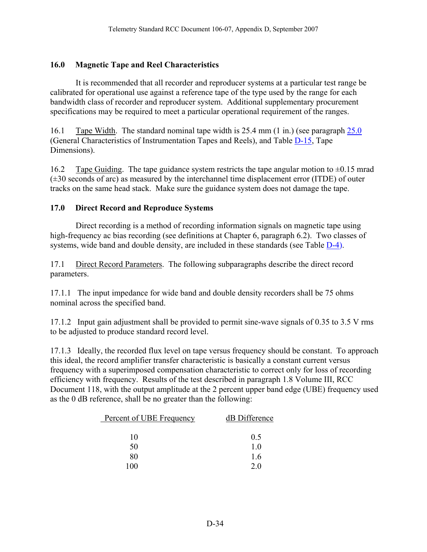## <span id="page-35-0"></span>**16.0 Magnetic Tape and Reel Characteristics**

 It is recommended that all recorder and reproducer systems at a particular test range be calibrated for operational use against a reference tape of the type used by the range for each bandwidth class of recorder and reproducer system. Additional supplementary procurement specifications may be required to meet a particular operational requirement of the ranges.

16.1 Tape Width. The standard nominal tape width is 25.4 mm (1 in.) (see paragraph [25.0](#page-53-0) (General Characteristics of Instrumentation Tapes and Reels), and Table [D-15](#page-54-0), Tape Dimensions).

16.2 Tape Guiding. The tape guidance system restricts the tape angular motion to  $\pm 0.15$  mrad  $(\pm 30$  seconds of arc) as measured by the interchannel time displacement error (ITDE) of outer tracks on the same head stack. Make sure the guidance system does not damage the tape.

#### **17.0 Direct Record and Reproduce Systems**

 Direct recording is a method of recording information signals on magnetic tape using high-frequency ac bias recording (see definitions at Chapter 6, paragraph 6.2). Two classes of systems, wide band and double density, are included in these standards (see Table  $D-4$ ).

17.1 Direct Record Parameters. The following subparagraphs describe the direct record parameters.

17.1.1 The input impedance for wide band and double density recorders shall be 75 ohms nominal across the specified band.

17.1.2 Input gain adjustment shall be provided to permit sine-wave signals of 0.35 to 3.5 V rms to be adjusted to produce standard record level.

17.1.3 Ideally, the recorded flux level on tape versus frequency should be constant. To approach this ideal, the record amplifier transfer characteristic is basically a constant current versus frequency with a superimposed compensation characteristic to correct only for loss of recording efficiency with frequency. Results of the test described in paragraph 1.8 Volume III, RCC Document 118, with the output amplitude at the 2 percent upper band edge (UBE) frequency used as the 0 dB reference, shall be no greater than the following:

| Percent of UBE Frequency | dB Difference |
|--------------------------|---------------|
| 10                       | 0.5           |
| 50                       | 10            |
| 80                       | 16            |
| 100                      | 20            |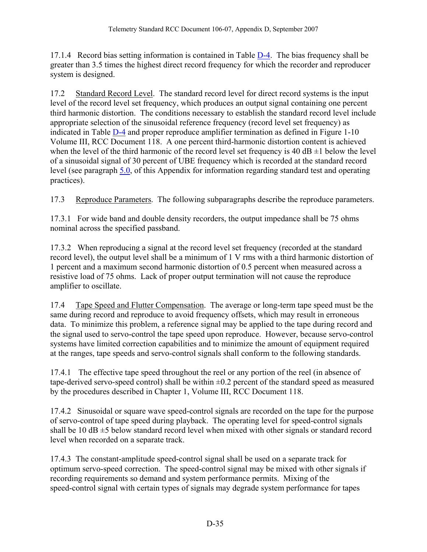<span id="page-36-0"></span>17.1.4 Record bias setting information is contained in Table [D-4.](#page-26-0) The bias frequency shall be greater than 3.5 times the highest direct record frequency for which the recorder and reproducer system is designed.

17.2 Standard Record Level. The standard record level for direct record systems is the input level of the record level set frequency, which produces an output signal containing one percent third harmonic distortion. The conditions necessary to establish the standard record level include appropriate selection of the sinusoidal reference frequency (record level set frequency) as indicated in Table [D-4](#page-26-0) and proper reproduce amplifier termination as defined in Figure 1-10 Volume III, RCC Document 118. A one percent third-harmonic distortion content is achieved when the level of the third harmonic of the record level set frequency is 40  $\text{dB} \pm 1$  below the level of a sinusoidal signal of 30 percent of UBE frequency which is recorded at the standard record level (see paragraph [5.0,](#page-16-0) of this Appendix for information regarding standard test and operating practices).

17.3 Reproduce Parameters. The following subparagraphs describe the reproduce parameters.

17.3.1 For wide band and double density recorders, the output impedance shall be 75 ohms nominal across the specified passband.

17.3.2 When reproducing a signal at the record level set frequency (recorded at the standard record level), the output level shall be a minimum of 1 V rms with a third harmonic distortion of 1 percent and a maximum second harmonic distortion of 0.5 percent when measured across a resistive load of 75 ohms. Lack of proper output termination will not cause the reproduce amplifier to oscillate.

17.4 Tape Speed and Flutter Compensation. The average or long-term tape speed must be the same during record and reproduce to avoid frequency offsets, which may result in erroneous data. To minimize this problem, a reference signal may be applied to the tape during record and the signal used to servo-control the tape speed upon reproduce. However, because servo-control systems have limited correction capabilities and to minimize the amount of equipment required at the ranges, tape speeds and servo-control signals shall conform to the following standards.

17.4.1 The effective tape speed throughout the reel or any portion of the reel (in absence of tape-derived servo-speed control) shall be within  $\pm 0.2$  percent of the standard speed as measured by the procedures described in Chapter 1, Volume III, RCC Document 118.

17.4.2 Sinusoidal or square wave speed-control signals are recorded on the tape for the purpose of servo-control of tape speed during playback. The operating level for speed-control signals shall be 10  $\text{dB} \pm 5$  below standard record level when mixed with other signals or standard record level when recorded on a separate track.

17.4.3 The constant-amplitude speed-control signal shall be used on a separate track for optimum servo-speed correction. The speed-control signal may be mixed with other signals if recording requirements so demand and system performance permits. Mixing of the speed-control signal with certain types of signals may degrade system performance for tapes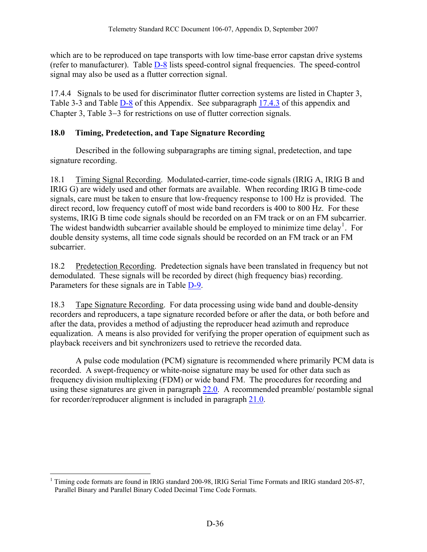<span id="page-37-0"></span>which are to be reproduced on tape transports with low time-base error capstan drive systems (refer to manufacturer). Table [D-8](#page-38-0) lists speed-control signal frequencies. The speed-control signal may also be used as a flutter correction signal.

17.4.4 Signals to be used for discriminator flutter correction systems are listed in Chapter 3, Table 3-3 and Table  $D-8$  of this Appendix. See subparagraph [17.4.3](#page-36-0) of this appendix and Chapter 3, Table 3−3 for restrictions on use of flutter correction signals.

## **18.0 Timing, Predetection, and Tape Signature Recording**

 Described in the following subparagraphs are timing signal, predetection, and tape signature recording.

18.1 Timing Signal Recording. Modulated-carrier, time-code signals (IRIG A, IRIG B and IRIG G) are widely used and other formats are available. When recording IRIG B time-code signals, care must be taken to ensure that low-frequency response to 100 Hz is provided. The direct record, low frequency cutoff of most wide band recorders is 400 to 800 Hz. For these systems, IRIG B time code signals should be recorded on an FM track or on an FM subcarrier. The widest bandwidth subcarrier available should be employed to minimize time delay<sup>[1](#page-37-0)</sup>. For double density systems, all time code signals should be recorded on an FM track or an FM subcarrier.

18.2 Predetection Recording. Predetection signals have been translated in frequency but not demodulated. These signals will be recorded by direct (high frequency bias) recording. Parameters for these signals are in Table [D-9](#page-39-0).

18.3 Tape Signature Recording. For data processing using wide band and double-density recorders and reproducers, a tape signature recorded before or after the data, or both before and after the data, provides a method of adjusting the reproducer head azimuth and reproduce equalization. A means is also provided for verifying the proper operation of equipment such as playback receivers and bit synchronizers used to retrieve the recorded data.

 A pulse code modulation (PCM) signature is recommended where primarily PCM data is recorded. A swept-frequency or white-noise signature may be used for other data such as frequency division multiplexing (FDM) or wide band FM. The procedures for recording and using these signatures are given in paragraph [22.0.](#page-46-0) A recommended preamble/ postamble signal for recorder/reproducer alignment is included in paragraph [21.0.](#page-46-0)

 $\overline{a}$ <sup>1</sup> Timing code formats are found in IRIG standard 200-98, IRIG Serial Time Formats and IRIG standard 205-87, Parallel Binary and Parallel Binary Coded Decimal Time Code Formats.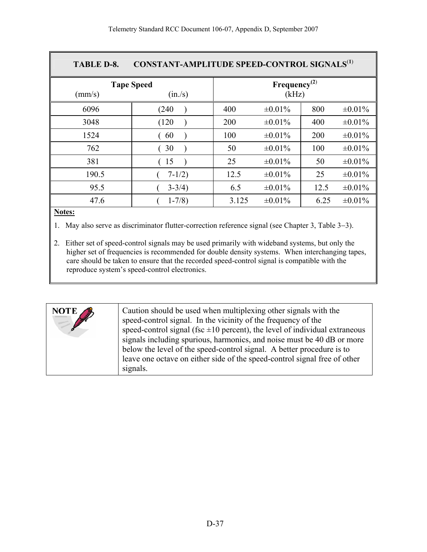<span id="page-38-0"></span>

| <b>TABLE D-8.</b>           | <b>CONSTANT-AMPLITUDE SPEED-CONTROL SIGNALS</b> <sup>(1)</sup> |                                   |              |      |              |
|-----------------------------|----------------------------------------------------------------|-----------------------------------|--------------|------|--------------|
| <b>Tape Speed</b><br>(mm/s) |                                                                | Frequency <sup>(2)</sup><br>(kHz) |              |      |              |
| 6096                        | (240                                                           | 400                               | $\pm 0.01\%$ | 800  | $\pm 0.01\%$ |
| 3048                        | (120)                                                          | 200                               | $\pm 0.01\%$ | 400  | $\pm 0.01\%$ |
| 1524                        | 60                                                             | 100                               | $\pm 0.01\%$ | 200  | $\pm 0.01\%$ |
| 762                         | 30                                                             | 50                                | $\pm 0.01\%$ | 100  | $\pm 0.01\%$ |
| 381                         | 15                                                             | 25                                | $\pm 0.01\%$ | 50   | $\pm 0.01\%$ |
| 190.5                       | $7 - 1/2$                                                      | 12.5                              | $\pm 0.01\%$ | 25   | $\pm 0.01\%$ |
| 95.5                        | $3 - 3/4$ )                                                    | 6.5                               | $\pm 0.01\%$ | 12.5 | $\pm 0.01\%$ |
| 47.6                        | $1 - 7/8$                                                      | 3.125                             | $\pm 0.01\%$ | 6.25 | $\pm 0.01\%$ |

#### **Notes:**

1. May also serve as discriminator flutter-correction reference signal (see Chapter 3, Table 3−3).

2. Either set of speed-control signals may be used primarily with wideband systems, but only the higher set of frequencies is recommended for double density systems. When interchanging tapes, care should be taken to ensure that the recorded speed-control signal is compatible with the reproduce system's speed-control electronics.

| Caution should be used when multiplexing other signals with the<br><b>NOTE</b><br><b>CONTRACTOR</b><br>speed-control signal. In the vicinity of the frequency of the<br>speed-control signal (fsc $\pm 10$ percent), the level of individual extraneous<br>signals including spurious, harmonics, and noise must be 40 dB or more<br>below the level of the speed-control signal. A better procedure is to<br>leave one octave on either side of the speed-control signal free of other<br>signals. |
|-----------------------------------------------------------------------------------------------------------------------------------------------------------------------------------------------------------------------------------------------------------------------------------------------------------------------------------------------------------------------------------------------------------------------------------------------------------------------------------------------------|
|-----------------------------------------------------------------------------------------------------------------------------------------------------------------------------------------------------------------------------------------------------------------------------------------------------------------------------------------------------------------------------------------------------------------------------------------------------------------------------------------------------|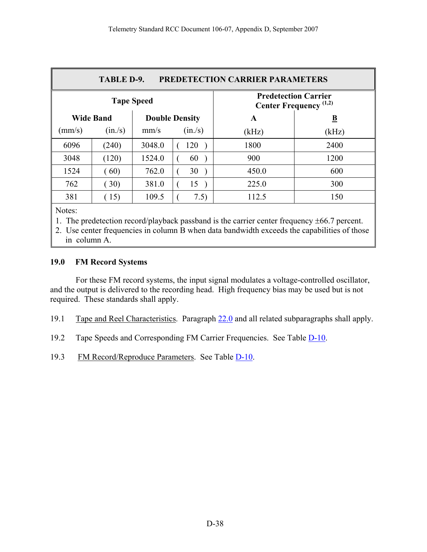<span id="page-39-0"></span>

| <b>PREDETECTION CARRIER PARAMETERS</b><br>TABLE D-9.                              |         |        |         |       |                         |
|-----------------------------------------------------------------------------------|---------|--------|---------|-------|-------------------------|
| <b>Predetection Carrier</b><br><b>Tape Speed</b><br><b>Center Frequency</b> (1,2) |         |        |         |       |                         |
| <b>Wide Band</b><br><b>Double Density</b>                                         |         |        |         | A     | $\overline{\mathbf{B}}$ |
| $\text{(mm/s)}$                                                                   | (in./s) | mm/s   | (in./s) | (kHz) | (kHz)                   |
| 6096                                                                              | (240)   | 3048.0 | 120     | 1800  | 2400                    |
| 3048                                                                              | (120)   | 1524.0 | 60      | 900   | 1200                    |
| 1524                                                                              | (60)    | 762.0  | 30      | 450.0 | 600                     |
| 762                                                                               | (30)    | 381.0  | 15      | 225.0 | 300                     |
| 381                                                                               | (15)    | 109.5  | 7.5)    | 112.5 | 150                     |
| Notes:                                                                            |         |        |         |       |                         |

1. The predetection record/playback passband is the carrier center frequency ±66.7 percent.

2. Use center frequencies in column B when data bandwidth exceeds the capabilities of those in column A.

#### **19.0 FM Record Systems**

 For these FM record systems, the input signal modulates a voltage-controlled oscillator, and the output is delivered to the recording head. High frequency bias may be used but is not required. These standards shall apply.

- 19.1 Tape and Reel Characteristics. Paragraph [22.0](#page-46-0) and all related subparagraphs shall apply.
- 19.2 Tape Speeds and Corresponding FM Carrier Frequencies. See Table [D-10.](#page-40-0)
- 19.3 FM Record/Reproduce Parameters. See Table [D-10](#page-40-0).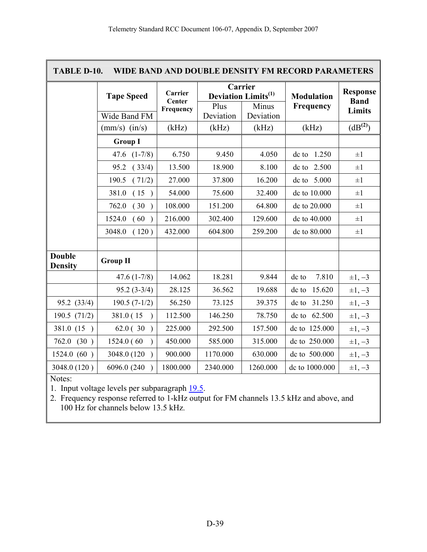<span id="page-40-0"></span>

| TABLE D-10.<br>WIDE BAND AND DOUBLE DENSITY FM RECORD PARAMETERS |                   |                   |                   |                                                   |                   |                                |
|------------------------------------------------------------------|-------------------|-------------------|-------------------|---------------------------------------------------|-------------------|--------------------------------|
|                                                                  | <b>Tape Speed</b> | Carrier<br>Center |                   | Carrier<br><b>Deviation Limits</b> <sup>(1)</sup> | <b>Modulation</b> | <b>Response</b><br><b>Band</b> |
|                                                                  | Wide Band FM      | Frequency         | Plus<br>Deviation | Minus<br>Deviation                                | Frequency         | <b>Limits</b>                  |
|                                                                  | $(mm/s)$ $(in/s)$ | (kHz)             | (kHz)             | (kHz)                                             | (kHz)             | (dB <sup>(2)</sup> )           |
|                                                                  | <b>Group I</b>    |                   |                   |                                                   |                   |                                |
|                                                                  | 47.6 $(1-7/8)$    | 6.750             | 9.450             | 4.050                                             | dc to 1.250       | $\pm 1$                        |
|                                                                  | (33/4)<br>95.2    | 13.500            | 18.900            | 8.100                                             | dc to 2.500       | $\pm 1$                        |
|                                                                  | 190.5<br>(71/2)   | 27.000            | 37.800            | 16.200                                            | dc to 5.000       | $\pm 1$                        |
|                                                                  | 381.0<br>(15)     | 54.000            | 75.600            | 32.400                                            | dc to 10.000      | $\pm 1$                        |
|                                                                  | 762.0<br>(30)     | 108.000           | 151.200           | 64.800                                            | dc to 20.000      | $\pm 1$                        |
|                                                                  | 1524.0<br>(60)    | 216.000           | 302.400           | 129.600                                           | dc to 40.000      | $\pm 1$                        |
|                                                                  | 3048.0<br>(120)   | 432.000           | 604.800           | 259.200                                           | dc to 80.000      | $\pm 1$                        |
|                                                                  |                   |                   |                   |                                                   |                   |                                |
| <b>Double</b><br><b>Density</b>                                  | <b>Group II</b>   |                   |                   |                                                   |                   |                                |
|                                                                  | $47.6(1-7/8)$     | 14.062            | 18.281            | 9.844                                             | dc to<br>7.810    | $\pm 1, -3$                    |
|                                                                  | $95.2(3-3/4)$     | 28.125            | 36.562            | 19.688                                            | 15.620<br>dc to   | $\pm 1, -3$                    |
| 95.2 (33/4)                                                      | $190.5(7-1/2)$    | 56.250            | 73.125            | 39.375                                            | dc to 31.250      | $\pm 1, -3$                    |
| 190.5 $(71/2)$                                                   | 381.0 (15)        | 112.500           | 146.250           | 78.750                                            | dc to 62.500      | $\pm 1, -3$                    |
| 381.0 (15)                                                       | 62.0(30)          | 225.000           | 292.500           | 157.500                                           | dc to 125.000     | $\pm 1, -3$                    |
| 762.0<br>(30)                                                    | 1524.0 (60        | 450.000           | 585.000           | 315.000                                           | dc to 250.000     | $\pm 1, -3$                    |
| 1524.0 (60)                                                      | 3048.0 (120)      | 900.000           | 1170.000          | 630.000                                           | dc to 500.000     | $\pm 1, -3$                    |
| 3048.0 (120)                                                     | 6096.0 (240)      | 1800.000          | 2340.000          | 1260.000                                          | dc to 1000.000    | $\pm 1, -3$                    |

Notes:

1. Input voltage levels per subparagraph [19.5.](#page-41-0)

2. Frequency response referred to 1-kHz output for FM channels 13.5 kHz and above, and 100 Hz for channels below 13.5 kHz.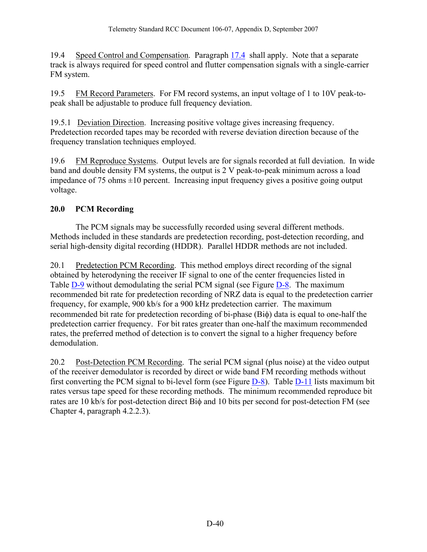<span id="page-41-0"></span>19.4 Speed Control and Compensation. Paragraph [17.4](#page-36-0) shall apply. Note that a separate track is always required for speed control and flutter compensation signals with a single-carrier FM system.

19.5 FM Record Parameters. For FM record systems, an input voltage of 1 to 10V peak-topeak shall be adjustable to produce full frequency deviation.

19.5.1 Deviation Direction. Increasing positive voltage gives increasing frequency. Predetection recorded tapes may be recorded with reverse deviation direction because of the frequency translation techniques employed.

19.6 FM Reproduce Systems. Output levels are for signals recorded at full deviation. In wide band and double density FM systems, the output is 2 V peak-to-peak minimum across a load impedance of 75 ohms  $\pm 10$  percent. Increasing input frequency gives a positive going output voltage.

# **20.0 PCM Recording**

 The PCM signals may be successfully recorded using several different methods. Methods included in these standards are predetection recording, post-detection recording, and serial high-density digital recording (HDDR). Parallel HDDR methods are not included.

20.1 Predetection PCM Recording. This method employs direct recording of the signal obtained by heterodyning the receiver IF signal to one of the center frequencies listed in Table [D-9](#page-39-0) without demodulating the serial PCM signal (see Figure [D-8.](#page-33-0) The maximum recommended bit rate for predetection recording of NRZ data is equal to the predetection carrier frequency, for example, 900 kb/s for a 900 kHz predetection carrier. The maximum recommended bit rate for predetection recording of bi-phase (Biφ) data is equal to one-half the predetection carrier frequency. For bit rates greater than one-half the maximum recommended rates, the preferred method of detection is to convert the signal to a higher frequency before demodulation.

20.2 Post-Detection PCM Recording. The serial PCM signal (plus noise) at the video output of the receiver demodulator is recorded by direct or wide band FM recording methods without first converting the PCM signal to bi-level form (see Figure  $D-8$ ). Table  $D-11$  lists maximum bit rates versus tape speed for these recording methods. The minimum recommended reproduce bit rates are 10 kb/s for post-detection direct Biφ and 10 bits per second for post-detection FM (see Chapter 4, paragraph 4.2.2.3).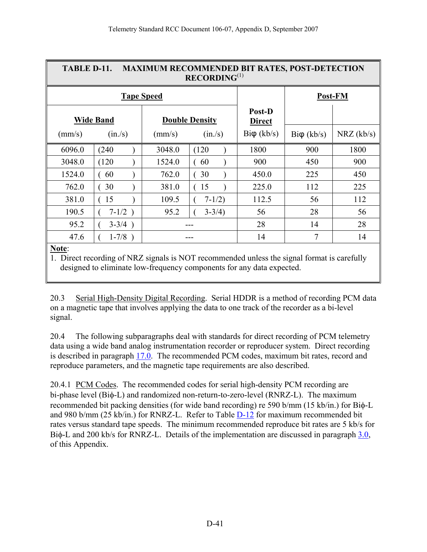<span id="page-42-0"></span>

| TABLE D-11.<br><b>MAXIMUM RECOMMENDED BIT RATES, POST-DETECTION</b><br>RECORDING <sup>(1)</sup> |                                           |        |             |                         |                    |            |
|-------------------------------------------------------------------------------------------------|-------------------------------------------|--------|-------------|-------------------------|--------------------|------------|
|                                                                                                 | <b>Tape Speed</b>                         |        |             |                         |                    | Post-FM    |
|                                                                                                 | <b>Wide Band</b><br><b>Double Density</b> |        |             | Post-D<br><b>Direct</b> |                    |            |
| (mm/s)                                                                                          | (in./s)                                   | (mm/s) | (in./s)     | $Bi\varphi$ (kb/s)      | $Bi\varphi$ (kb/s) | NRZ (kb/s) |
| 6096.0                                                                                          | (240)                                     | 3048.0 | (120)       | 1800                    | 900                | 1800       |
| 3048.0                                                                                          | (120)                                     | 1524.0 | 60          | 900                     | 450                | 900        |
| 1524.0                                                                                          | 60                                        | 762.0  | 30          | 450.0                   | 225                | 450        |
| 762.0                                                                                           | 30                                        | 381.0  | 15          | 225.0                   | 112                | 225        |
| 381.0                                                                                           | 15                                        | 109.5  | $7 - 1/2$   | 112.5                   | 56                 | 112        |
| 190.5                                                                                           | $7-1/2)$                                  | 95.2   | $3 - 3/4$ ) | 56                      | 28                 | 56         |
| 95.2                                                                                            | $3-3/4)$                                  |        |             | 28                      | 14                 | 28         |
| 47.6                                                                                            | $1 - 7/8$ )                               |        |             | 14                      | 7                  | 14         |
| Note:                                                                                           |                                           |        |             |                         |                    |            |

1.Direct recording of NRZ signals is NOT recommended unless the signal format is carefully designed to eliminate low-frequency components for any data expected.

20.3 Serial High-Density Digital Recording. Serial HDDR is a method of recording PCM data on a magnetic tape that involves applying the data to one track of the recorder as a bi-level signal.

20.4 The following subparagraphs deal with standards for direct recording of PCM telemetry data using a wide band analog instrumentation recorder or reproducer system. Direct recording is described in paragraph [17.0](#page-35-0). The recommended PCM codes, maximum bit rates, record and reproduce parameters, and the magnetic tape requirements are also described.

20.4.1 PCM Codes. The recommended codes for serial high-density PCM recording are bi-phase level (Biφ-L) and randomized non-return-to-zero-level (RNRZ-L). The maximum recommended bit packing densities (for wide band recording) re 590 b/mm (15 kb/in.) for Biφ-L and 980 b/mm (25 kb/in.) for RNRZ-L. Refer to Table [D-12](#page-43-0) for maximum recommended bit rates versus standard tape speeds. The minimum recommended reproduce bit rates are 5 kb/s for Biφ-L and 200 kb/s for RNRZ-L. Details of the implementation are discussed in paragraph [3.0,](#page-9-0) of this Appendix.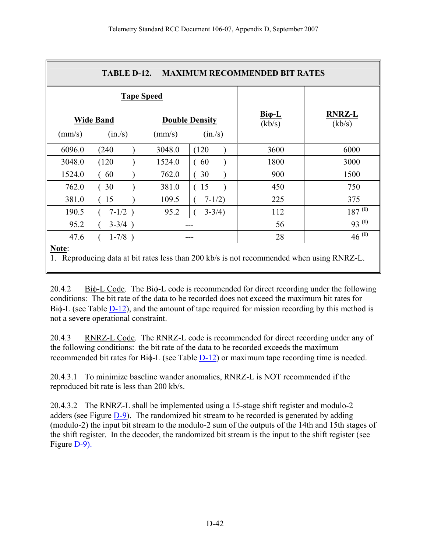<span id="page-43-0"></span>

|                                                                                                 | TABLE D-12.<br><b>MAXIMUM RECOMMENDED BIT RATES</b> |                  |                                  |                         |                         |
|-------------------------------------------------------------------------------------------------|-----------------------------------------------------|------------------|----------------------------------|-------------------------|-------------------------|
|                                                                                                 | <b>Tape Speed</b>                                   |                  |                                  |                         |                         |
| (mm/s)                                                                                          | <b>Wide Band</b><br>(in./s)                         | $\text{(mm/s)}$  | <b>Double Density</b><br>(in./s) | $Bi\varphi-L$<br>(kb/s) | <b>RNRZ-L</b><br>(kb/s) |
| 6096.0                                                                                          | (240)                                               | 3048.0           | (120)                            | 3600                    | 6000                    |
| 3048.0                                                                                          | (120)                                               | 1524.0           | 60                               | 1800                    | 3000                    |
| 1524.0                                                                                          | 60                                                  | 762.0            | 30                               | 900                     | 1500                    |
| 762.0                                                                                           | 30                                                  | 381.0            | 15                               | 450                     | 750                     |
| 381.0                                                                                           | 15                                                  | 109.5            | $7 - 1/2$                        | 225                     | 375                     |
| 190.5                                                                                           | $7-1/2)$                                            | 95.2             | $3 - 3/4$ )                      | 112                     | $187^{(1)}$             |
| 95.2                                                                                            | $3 - 3/4$ )                                         | $93^{(1)}$<br>56 |                                  |                         |                         |
| 47.6                                                                                            | $1-7/8$ )                                           | $46^{(1)}$<br>28 |                                  |                         |                         |
| Note:<br>Reproducing data at bit rates less than 200 kb/s is not recommended when using RNRZ-L. |                                                     |                  |                                  |                         |                         |

20.4.2 Biφ-L Code. The Biφ-L code is recommended for direct recording under the following conditions: The bit rate of the data to be recorded does not exceed the maximum bit rates for Biφ-L (see Table [D-12](#page-43-0)), and the amount of tape required for mission recording by this method is not a severe operational constraint.

20.4.3 RNRZ-L Code. The RNRZ-L code is recommended for direct recording under any of the following conditions: the bit rate of the data to be recorded exceeds the maximum recommended bit rates for Biφ-L (see Table [D-12](#page-43-0)) or maximum tape recording time is needed.

20.4.3.1 To minimize baseline wander anomalies, RNRZ-L is NOT recommended if the reproduced bit rate is less than 200 kb/s.

20.4.3.2 The RNRZ-L shall be implemented using a 15-stage shift register and modulo-2 adders (see Figure [D-9\)](#page-44-0). The randomized bit stream to be recorded is generated by adding (modulo-2) the input bit stream to the modulo-2 sum of the outputs of the 14th and 15th stages of the shift register. In the decoder, the randomized bit stream is the input to the shift register (see Figure [D-9\).](#page-44-0)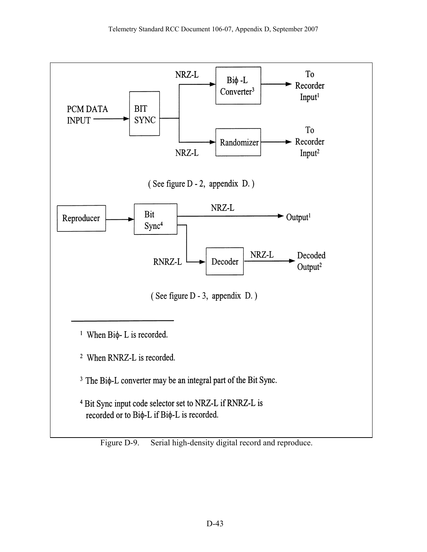<span id="page-44-0"></span>

Figure D-9. Serial high-density digital record and reproduce.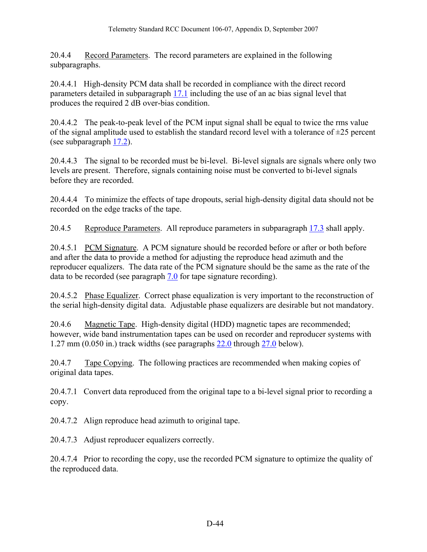20.4.4 Record Parameters. The record parameters are explained in the following subparagraphs.

20.4.4.1 High-density PCM data shall be recorded in compliance with the direct record parameters detailed in subparagraph [17.1](#page-35-0) including the use of an ac bias signal level that produces the required 2 dB over-bias condition.

20.4.4.2 The peak-to-peak level of the PCM input signal shall be equal to twice the rms value of the signal amplitude used to establish the standard record level with a tolerance of  $\pm 25$  percent (see subparagraph [17.2\)](#page-36-0).

20.4.4.3 The signal to be recorded must be bi-level. Bi-level signals are signals where only two levels are present. Therefore, signals containing noise must be converted to bi-level signals before they are recorded.

20.4.4.4 To minimize the effects of tape dropouts, serial high-density digital data should not be recorded on the edge tracks of the tape.

20.4.5 Reproduce Parameters. All reproduce parameters in subparagraph [17.3](#page-36-0) shall apply.

20.4.5.1 PCM Signature. A PCM signature should be recorded before or after or both before and after the data to provide a method for adjusting the reproduce head azimuth and the reproducer equalizers. The data rate of the PCM signature should be the same as the rate of the data to be recorded (see paragraph [7.0](#page-17-0) for tape signature recording).

20.4.5.2 Phase Equalizer. Correct phase equalization is very important to the reconstruction of the serial high-density digital data. Adjustable phase equalizers are desirable but not mandatory.

20.4.6 Magnetic Tape. High-density digital (HDD) magnetic tapes are recommended; however, wide band instrumentation tapes can be used on recorder and reproducer systems with 1.27 mm (0.050 in.) track widths (see paragraphs [22.0](#page-46-0) through [27.0](#page-56-0) below).

20.4.7 Tape Copying. The following practices are recommended when making copies of original data tapes.

20.4.7.1 Convert data reproduced from the original tape to a bi-level signal prior to recording a copy.

20.4.7.2 Align reproduce head azimuth to original tape.

20.4.7.3 Adjust reproducer equalizers correctly.

20.4.7.4 Prior to recording the copy, use the recorded PCM signature to optimize the quality of the reproduced data.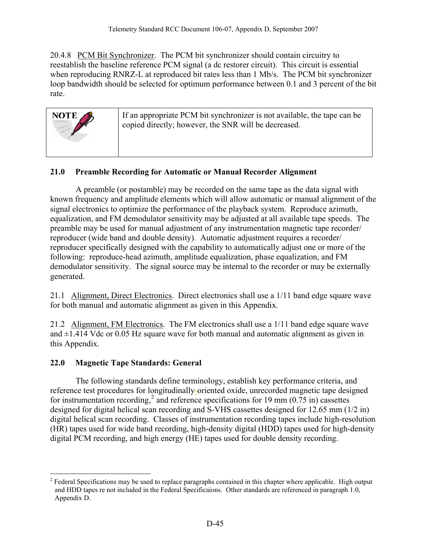<span id="page-46-0"></span>20.4.8 PCM Bit Synchronizer. The PCM bit synchronizer should contain circuitry to reestablish the baseline reference PCM signal (a dc restorer circuit). This circuit is essential when reproducing RNRZ-L at reproduced bit rates less than 1 Mb/s. The PCM bit synchronizer loop bandwidth should be selected for optimum performance between 0.1 and 3 percent of the bit rate.

| NOTE $\rightarrow$ | If an appropriate PCM bit synchronizer is not available, the tape can be<br>copied directly; however, the SNR will be decreased. |
|--------------------|----------------------------------------------------------------------------------------------------------------------------------|
|                    |                                                                                                                                  |

#### **21.0 Preamble Recording for Automatic or Manual Recorder Alignment**

 A preamble (or postamble) may be recorded on the same tape as the data signal with known frequency and amplitude elements which will allow automatic or manual alignment of the signal electronics to optimize the performance of the playback system. Reproduce azimuth, equalization, and FM demodulator sensitivity may be adjusted at all available tape speeds. The preamble may be used for manual adjustment of any instrumentation magnetic tape recorder/ reproducer (wide band and double density). Automatic adjustment requires a recorder/ reproducer specifically designed with the capability to automatically adjust one or more of the following: reproduce-head azimuth, amplitude equalization, phase equalization, and FM demodulator sensitivity. The signal source may be internal to the recorder or may be externally generated.

21.1 Alignment, Direct Electronics. Direct electronics shall use a 1/11 band edge square wave for both manual and automatic alignment as given in this Appendix.

21.2 Alignment, FM Electronics. The FM electronics shall use a 1/11 band edge square wave and  $\pm$ 1.414 Vdc or 0.05 Hz square wave for both manual and automatic alignment as given in this Appendix.

#### **22.0 Magnetic Tape Standards: General**

 The following standards define terminology, establish key performance criteria, and reference test procedures for longitudinally-oriented oxide, unrecorded magnetic tape designed for instrumentation recording,<sup>[2](#page-46-0)</sup> and reference specifications for 19 mm ( $0.75$  in) cassettes designed for digital helical scan recording and S-VHS cassettes designed for 12.65 mm (1/2 in) digital helical scan recording. Classes of instrumentation recording tapes include high-resolution (HR) tapes used for wide band recording, high-density digital (HDD) tapes used for high-density digital PCM recording, and high energy (HE) tapes used for double density recording.

 $\overline{a}$  $2^2$  Federal Specifications may be used to replace paragraphs contained in this chapter where applicable. High output and HDD tapes re not included in the Federal Specificaions. Other standards are referenced in paragraph 1.0, Appendix D.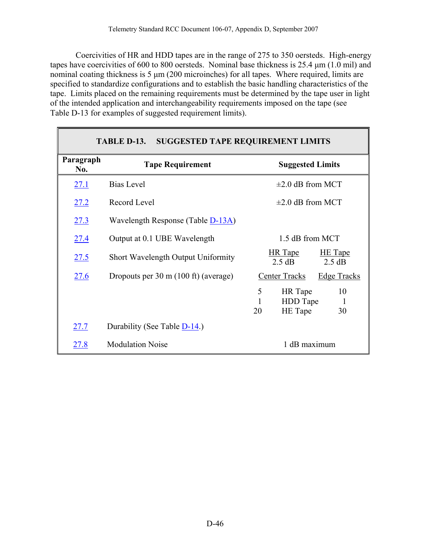<span id="page-47-0"></span> Coercivities of HR and HDD tapes are in the range of 275 to 350 oersteds. High-energy tapes have coercivities of 600 to 800 oersteds. Nominal base thickness is 25.4 μm (1.0 mil) and nominal coating thickness is 5 μm (200 microinches) for all tapes. Where required, limits are specified to standardize configurations and to establish the basic handling characteristics of the tape. Limits placed on the remaining requirements must be determined by the tape user in light of the intended application and interchangeability requirements imposed on the tape (see Table D-13 for examples of suggested requirement limits).

| <b>TABLE D-13. SUGGESTED TAPE REQUIREMENT LIMITS</b> |                                           |                                                                |  |  |
|------------------------------------------------------|-------------------------------------------|----------------------------------------------------------------|--|--|
| Paragraph<br>No.                                     | <b>Tape Requirement</b>                   | <b>Suggested Limits</b>                                        |  |  |
| 27.1                                                 | <b>Bias Level</b>                         | $\pm 2.0$ dB from MCT                                          |  |  |
| 27.2                                                 | Record Level                              | $\pm 2.0$ dB from MCT                                          |  |  |
| 27.3                                                 | Wavelength Response (Table D-13A)         |                                                                |  |  |
| <u>27.4</u>                                          | Output at 0.1 UBE Wavelength              | 1.5 dB from MCT                                                |  |  |
| 27.5                                                 | <b>Short Wavelength Output Uniformity</b> | <b>HR</b> Tape<br><b>HE</b> Tape<br>$2.5 \text{ dB}$<br>2.5 dB |  |  |
| <u>27.6</u>                                          | Dropouts per 30 m (100 ft) (average)      | Center Tracks<br><b>Edge Tracks</b>                            |  |  |
|                                                      |                                           | 5<br>HR Tape<br>10<br>HDD Tape<br>1<br>HE Tape<br>20<br>30     |  |  |
| 27.7                                                 | Durability (See Table D-14.)              |                                                                |  |  |
| <u>27.8</u>                                          | <b>Modulation Noise</b>                   | 1 dB maximum                                                   |  |  |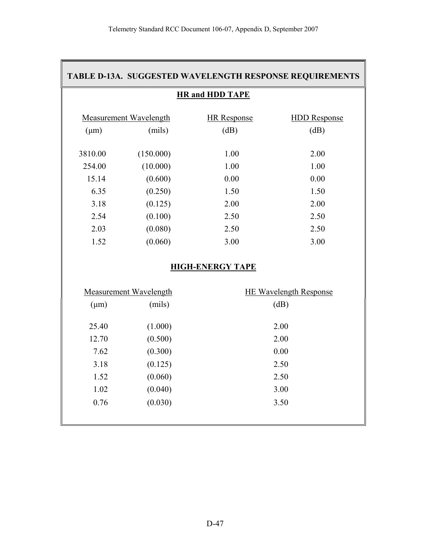#### <span id="page-48-0"></span>**TABLE D-13A. SUGGESTED WAVELENGTH RESPONSE REQUIREMENTS**

#### **HR and HDD TAPE**

|           | Measurement Wavelength | <b>HR</b> Response | <b>HDD</b> Response |
|-----------|------------------------|--------------------|---------------------|
| $(\mu m)$ | (mils)                 | (dB)               | (dB)                |
|           |                        |                    |                     |
| 3810.00   | (150.000)              | 1.00               | 2.00                |
| 254.00    | (10.000)               | 1.00               | 1.00                |
| 15.14     | (0.600)                | 0.00               | 0.00                |
| 6.35      | (0.250)                | 1.50               | 1.50                |
| 3.18      | (0.125)                | 2.00               | 2.00                |
| 2.54      | (0.100)                | 2.50               | 2.50                |
| 2.03      | (0.080)                | 2.50               | 2.50                |
| 1.52      | (0.060)                | 3.00               | 3.00                |

#### **HIGH-ENERGY TAPE**

|           | <b>Measurement Wavelength</b> | <b>HE Wavelength Response</b> |
|-----------|-------------------------------|-------------------------------|
| $(\mu m)$ | (mils)                        | (dB)                          |
|           |                               |                               |
| 25.40     | (1.000)                       | 2.00                          |
| 12.70     | (0.500)                       | 2.00                          |
| 7.62      | (0.300)                       | 0.00                          |
| 3.18      | (0.125)                       | 2.50                          |
| 1.52      | (0.060)                       | 2.50                          |
| 1.02      | (0.040)                       | 3.00                          |
| 0.76      | (0.030)                       | 3.50                          |
|           |                               |                               |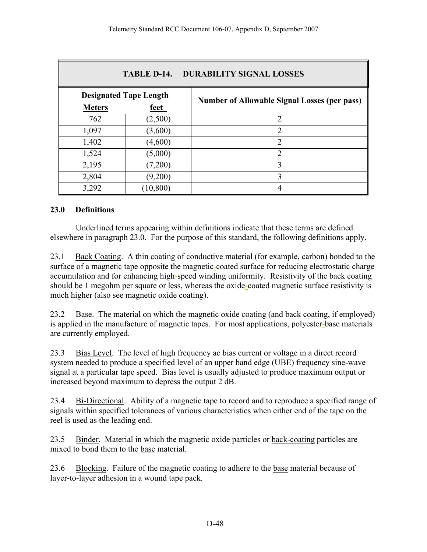<span id="page-49-0"></span>

| <b>TABLE D-14.</b><br><b>DURABILITY SIGNAL LOSSES</b> |                               |                                                     |  |  |  |
|-------------------------------------------------------|-------------------------------|-----------------------------------------------------|--|--|--|
|                                                       | <b>Designated Tape Length</b> | <b>Number of Allowable Signal Losses (per pass)</b> |  |  |  |
| <b>Meters</b>                                         | <u>feet</u>                   |                                                     |  |  |  |
| 762                                                   | (2,500)                       | $\mathfrak{D}$                                      |  |  |  |
| 1,097                                                 | (3,600)                       | $\mathfrak{D}_{1}^{(1)}$                            |  |  |  |
| 1,402                                                 | (4,600)                       | 2                                                   |  |  |  |
| 1,524                                                 | (5,000)                       | $\mathcal{D}$                                       |  |  |  |
| 2,195                                                 | (7,200)                       | ζ                                                   |  |  |  |
| 2,804                                                 | (9,200)                       | 3                                                   |  |  |  |
| 3,292                                                 | (10, 800)                     | 4                                                   |  |  |  |

#### **23.0 Definitions**

 Underlined terms appearing within definitions indicate that these terms are defined elsewhere in paragraph 23.0. For the purpose of this standard, the following definitions apply.

23.1 Back Coating. A thin coating of conductive material (for example, carbon) bonded to the surface of a magnetic tape opposite the magnetic-coated surface for reducing electrostatic charge accumulation and for enhancing high-speed winding uniformity. Resistivity of the back coating should be 1 megohm per square or less, whereas the oxide-coated magnetic surface resistivity is much higher (also see magnetic oxide coating).

23.2 Base. The material on which the magnetic oxide coating (and back coating, if employed) is applied in the manufacture of magnetic tapes. For most applications, polyester-base materials are currently employed.

23.3 Bias Level. The level of high frequency ac bias current or voltage in a direct record system needed to produce a specified level of an upper band edge (UBE) frequency sine-wave signal at a particular tape speed. Bias level is usually adjusted to produce maximum output or increased beyond maximum to depress the output 2 dB.

23.4 Bi-Directional. Ability of a magnetic tape to record and to reproduce a specified range of signals within specified tolerances of various characteristics when either end of the tape on the reel is used as the leading end.

23.5 Binder. Material in which the magnetic oxide particles or back-coating particles are mixed to bond them to the base material.

23.6 Blocking. Failure of the magnetic coating to adhere to the base material because of layer-to-layer adhesion in a wound tape pack.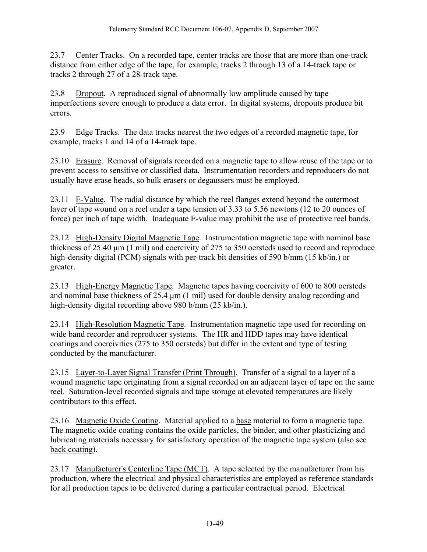<span id="page-50-0"></span>23.7 Center Tracks. On a recorded tape, center tracks are those that are more than one-track distance from either edge of the tape, for example, tracks 2 through 13 of a 14-track tape or tracks 2 through 27 of a 28-track tape.

23.8 Dropout. A reproduced signal of abnormally low amplitude caused by tape imperfections severe enough to produce a data error. In digital systems, dropouts produce bit errors.

23.9 Edge Tracks. The data tracks nearest the two edges of a recorded magnetic tape, for example, tracks 1 and 14 of a 14-track tape.

23.10 Erasure. Removal of signals recorded on a magnetic tape to allow reuse of the tape or to prevent access to sensitive or classified data. Instrumentation recorders and reproducers do not usually have erase heads, so bulk erasers or degaussers must be employed.

23.11 E-Value. The radial distance by which the reel flanges extend beyond the outermost layer of tape wound on a reel under a tape tension of 3.33 to 5.56 newtons (12 to 20 ounces of force) per inch of tape width. Inadequate E-value may prohibit the use of protective reel bands.

23.12 High-Density Digital Magnetic Tape. Instrumentation magnetic tape with nominal base thickness of 25.40 μm (1 mil) and coercivity of 275 to 350 oersteds used to record and reproduce high-density digital (PCM) signals with per-track bit densities of 590 b/mm (15 kb/in.) or greater.

23.13 High-Energy Magnetic Tape. Magnetic tapes having coercivity of 600 to 800 oersteds and nominal base thickness of 25.4 μm (1 mil) used for double density analog recording and high-density digital recording above 980 b/mm (25 kb/in.).

23.14 High-Resolution Magnetic Tape. Instrumentation magnetic tape used for recording on wide band recorder and reproducer systems. The HR and HDD tapes may have identical coatings and coercivities (275 to 350 oersteds) but differ in the extent and type of testing conducted by the manufacturer.

23.15 Layer-to-Layer Signal Transfer (Print Through). Transfer of a signal to a layer of a wound magnetic tape originating from a signal recorded on an adjacent layer of tape on the same reel. Saturation-level recorded signals and tape storage at elevated temperatures are likely contributors to this effect.

23.16 Magnetic Oxide Coating. Material applied to a base material to form a magnetic tape. The magnetic oxide coating contains the oxide particles, the binder, and other plasticizing and lubricating materials necessary for satisfactory operation of the magnetic tape system (also see back coating).

23.17 Manufacturer's Centerline Tape (MCT). A tape selected by the manufacturer from his production, where the electrical and physical characteristics are employed as reference standards for all production tapes to be delivered during a particular contractual period. Electrical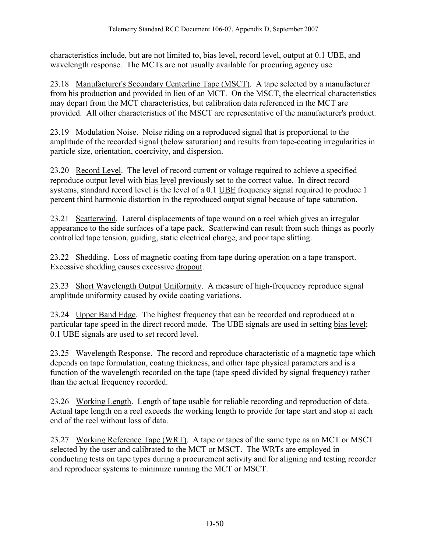<span id="page-51-0"></span>characteristics include, but are not limited to, bias level, record level, output at 0.1 UBE, and wavelength response. The MCTs are not usually available for procuring agency use.

23.18 Manufacturer's Secondary Centerline Tape (MSCT). A tape selected by a manufacturer from his production and provided in lieu of an MCT. On the MSCT, the electrical characteristics may depart from the MCT characteristics, but calibration data referenced in the MCT are provided. All other characteristics of the MSCT are representative of the manufacturer's product.

23.19 Modulation Noise. Noise riding on a reproduced signal that is proportional to the amplitude of the recorded signal (below saturation) and results from tape-coating irregularities in particle size, orientation, coercivity, and dispersion.

23.20 Record Level. The level of record current or voltage required to achieve a specified reproduce output level with bias level previously set to the correct value. In direct record systems, standard record level is the level of a 0.1 UBE frequency signal required to produce 1 percent third harmonic distortion in the reproduced output signal because of tape saturation.

23.21 Scatterwind. Lateral displacements of tape wound on a reel which gives an irregular appearance to the side surfaces of a tape pack. Scatterwind can result from such things as poorly controlled tape tension, guiding, static electrical charge, and poor tape slitting.

23.22 Shedding. Loss of magnetic coating from tape during operation on a tape transport. Excessive shedding causes excessive dropout.

23.23 Short Wavelength Output Uniformity. A measure of high-frequency reproduce signal amplitude uniformity caused by oxide coating variations.

23.24 Upper Band Edge. The highest frequency that can be recorded and reproduced at a particular tape speed in the direct record mode. The UBE signals are used in setting bias level; 0.1 UBE signals are used to set record level.

23.25 Wavelength Response. The record and reproduce characteristic of a magnetic tape which depends on tape formulation, coating thickness, and other tape physical parameters and is a function of the wavelength recorded on the tape (tape speed divided by signal frequency) rather than the actual frequency recorded.

23.26 Working Length. Length of tape usable for reliable recording and reproduction of data. Actual tape length on a reel exceeds the working length to provide for tape start and stop at each end of the reel without loss of data.

23.27 Working Reference Tape (WRT). A tape or tapes of the same type as an MCT or MSCT selected by the user and calibrated to the MCT or MSCT. The WRTs are employed in conducting tests on tape types during a procurement activity and for aligning and testing recorder and reproducer systems to minimize running the MCT or MSCT.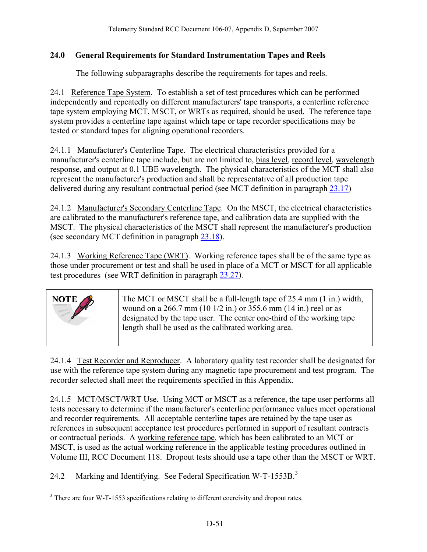#### <span id="page-52-0"></span>**24.0 General Requirements for Standard Instrumentation Tapes and Reels**

The following subparagraphs describe the requirements for tapes and reels.

24.1 Reference Tape System. To establish a set of test procedures which can be performed independently and repeatedly on different manufacturers' tape transports, a centerline reference tape system employing MCT, MSCT, or WRTs as required, should be used. The reference tape system provides a centerline tape against which tape or tape recorder specifications may be tested or standard tapes for aligning operational recorders.

24.1.1 Manufacturer's Centerline Tape. The electrical characteristics provided for a manufacturer's centerline tape include, but are not limited to, bias level, record level, wavelength response, and output at 0.1 UBE wavelength. The physical characteristics of the MCT shall also represent the manufacturer's production and shall be representative of all production tape delivered during any resultant contractual period (see MCT definition in paragraph [23.17\)](#page-50-0)

24.1.2 Manufacturer's Secondary Centerline Tape. On the MSCT, the electrical characteristics are calibrated to the manufacturer's reference tape, and calibration data are supplied with the MSCT. The physical characteristics of the MSCT shall represent the manufacturer's production (see secondary MCT definition in paragraph [23.18\)](#page-51-0).

24.1.3 Working Reference Tape (WRT). Working reference tapes shall be of the same type as those under procurement or test and shall be used in place of a MCT or MSCT for all applicable test procedures (see WRT definition in paragraph [23.27](#page-51-0)).



24.1.4 Test Recorder and Reproducer. A laboratory quality test recorder shall be designated for use with the reference tape system during any magnetic tape procurement and test program. The recorder selected shall meet the requirements specified in this Appendix.

24.1.5 MCT/MSCT/WRT Use. Using MCT or MSCT as a reference, the tape user performs all tests necessary to determine if the manufacturer's centerline performance values meet operational and recorder requirements. All acceptable centerline tapes are retained by the tape user as references in subsequent acceptance test procedures performed in support of resultant contracts or contractual periods. A working reference tape, which has been calibrated to an MCT or MSCT, is used as the actual working reference in the applicable testing procedures outlined in Volume III, RCC Document 118. Dropout tests should use a tape other than the MSCT or WRT.

24.2 Marking and Identifying. See Federal Specification W-T-155[3](#page-52-0)B.<sup>3</sup>

 $\overline{a}$  $3$  There are four W-T-1553 specifications relating to different coercivity and dropout rates.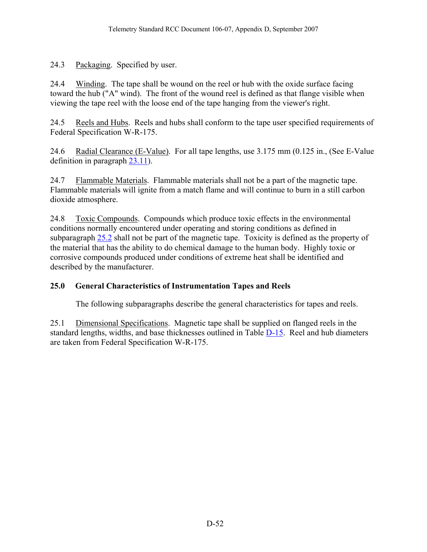<span id="page-53-0"></span>24.3 Packaging. Specified by user.

24.4 Winding. The tape shall be wound on the reel or hub with the oxide surface facing toward the hub ("A" wind). The front of the wound reel is defined as that flange visible when viewing the tape reel with the loose end of the tape hanging from the viewer's right.

24.5 Reels and Hubs. Reels and hubs shall conform to the tape user specified requirements of Federal Specification W-R-175.

24.6 Radial Clearance (E-Value). For all tape lengths, use 3.175 mm (0.125 in., (See E-Value definition in paragraph [23.11\)](#page-50-0).

24.7 Flammable Materials. Flammable materials shall not be a part of the magnetic tape. Flammable materials will ignite from a match flame and will continue to burn in a still carbon dioxide atmosphere.

24.8 Toxic Compounds. Compounds which produce toxic effects in the environmental conditions normally encountered under operating and storing conditions as defined in subparagraph [25.2](#page-55-0) shall not be part of the magnetic tape. Toxicity is defined as the property of the material that has the ability to do chemical damage to the human body. Highly toxic or corrosive compounds produced under conditions of extreme heat shall be identified and described by the manufacturer.

# **25.0 General Characteristics of Instrumentation Tapes and Reels**

The following subparagraphs describe the general characteristics for tapes and reels.

25.1 Dimensional Specifications. Magnetic tape shall be supplied on flanged reels in the standard lengths, widths, and base thicknesses outlined in Table [D-15](#page-54-0). Reel and hub diameters are taken from Federal Specification W-R-175.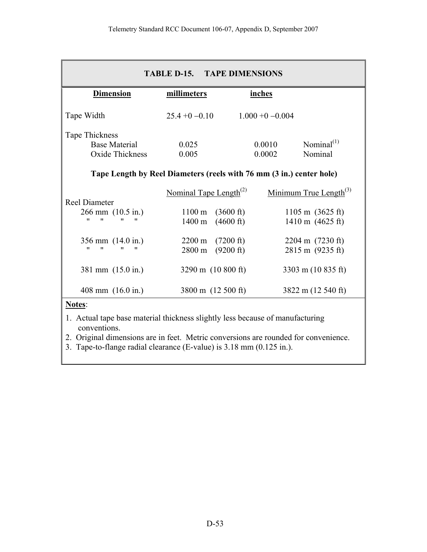<span id="page-54-0"></span>

| <b>TABLE D-15. TAPE DIMENSIONS</b>                                   |                                    |                     |                              |  |
|----------------------------------------------------------------------|------------------------------------|---------------------|------------------------------|--|
| <b>Dimension</b>                                                     | millimeters                        | inches              |                              |  |
| Tape Width                                                           | $25.4 + 0 - 0.10$                  | $1.000 + 0 - 0.004$ |                              |  |
| Tape Thickness                                                       |                                    |                     |                              |  |
| <b>Base Material</b>                                                 | 0.025                              | 0.0010              | Nominal $^{(1)}$             |  |
| Oxide Thickness                                                      | 0.005                              | 0.0002              | Nominal                      |  |
| Tape Length by Reel Diameters (reels with 76 mm (3 in.) center hole) |                                    |                     |                              |  |
|                                                                      | Nominal Tape Length <sup>(2)</sup> |                     | Minimum True Length $^{(3)}$ |  |
| Reel Diameter                                                        |                                    |                     |                              |  |
| $266$ mm $(10.5 \text{ in.})$                                        | $1100 \text{ m}$                   | $(3600 \text{ ft})$ | $1105 \text{ m}$ (3625 ft)   |  |
| $^{\prime\prime}$<br>"<br>"<br>11                                    | 1400 m                             | $(4600 \text{ ft})$ | 1410 m (4625 ft)             |  |
| 356 mm $(14.0 \text{ in.})$                                          | $2200 \text{ m}$                   | $(7200 \text{ ft})$ | $2204 \text{ m}$ (7230 ft)   |  |
| "<br>"<br>"<br>"                                                     | 2800 m                             | (9200 ft)           | 2815 m (9235 ft)             |  |
| 381 mm (15.0 in.)                                                    | 3290 m $(10\ 800\ \text{ft})$      |                     | 3303 m (10 835 ft)           |  |
| 408 mm $(16.0 \text{ in.})$                                          | 3800 m (12 500 ft)                 |                     | 3822 m (12 540 ft)           |  |

# **Notes**:

- 1. Actual tape base material thickness slightly less because of manufacturing conventions.
- 2. Original dimensions are in feet. Metric conversions are rounded for convenience.
- 3. Tape-to-flange radial clearance (E-value) is 3.18 mm (0.125 in.).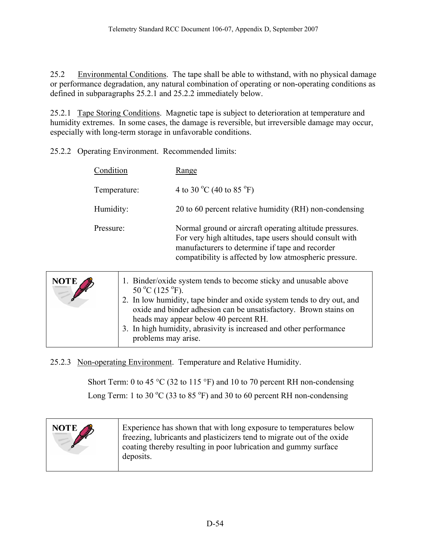<span id="page-55-0"></span>25.2 Environmental Conditions. The tape shall be able to withstand, with no physical damage or performance degradation, any natural combination of operating or non-operating conditions as defined in subparagraphs 25.2.1 and 25.2.2 immediately below.

25.2.1 Tape Storing Conditions. Magnetic tape is subject to deterioration at temperature and humidity extremes. In some cases, the damage is reversible, but irreversible damage may occur, especially with long-term storage in unfavorable conditions.

25.2.2 Operating Environment. Recommended limits:

|              | Condition                          | Range                                                                                                                                                                                                                                                   |
|--------------|------------------------------------|---------------------------------------------------------------------------------------------------------------------------------------------------------------------------------------------------------------------------------------------------------|
| Temperature: |                                    | 4 to 30 °C (40 to 85 °F)                                                                                                                                                                                                                                |
| Humidity:    |                                    | 20 to 60 percent relative humidity (RH) non-condensing                                                                                                                                                                                                  |
| Pressure:    |                                    | Normal ground or aircraft operating altitude pressures.<br>For very high altitudes, tape users should consult with<br>manufacturers to determine if tape and recorder<br>compatibility is affected by low atmospheric pressure.                         |
| <b>NOTE</b>  | $50^{\circ}$ C (125 $^{\circ}$ F). | 1. Binder/oxide system tends to become sticky and unusable above<br>2. In low humidity, tape binder and oxide system tends to dry out, and<br>oxide and binder adhesion can be unsatisfactory. Brown stains on<br>heads may appear below 40 percent RH. |

3. In high humidity, abrasivity is increased and other performance problems may arise.

25.2.3 Non-operating Environment. Temperature and Relative Humidity.

Short Term: 0 to 45  $^{\circ}$ C (32 to 115  $^{\circ}$ F) and 10 to 70 percent RH non-condensing Long Term: 1 to 30  $^{\circ}$ C (33 to 85  $^{\circ}$ F) and 30 to 60 percent RH non-condensing

| NOTE | Experience has shown that with long exposure to temperatures below<br>freezing, lubricants and plasticizers tend to migrate out of the oxide<br>coating thereby resulting in poor lubrication and gummy surface<br>deposits. |
|------|------------------------------------------------------------------------------------------------------------------------------------------------------------------------------------------------------------------------------|
|      |                                                                                                                                                                                                                              |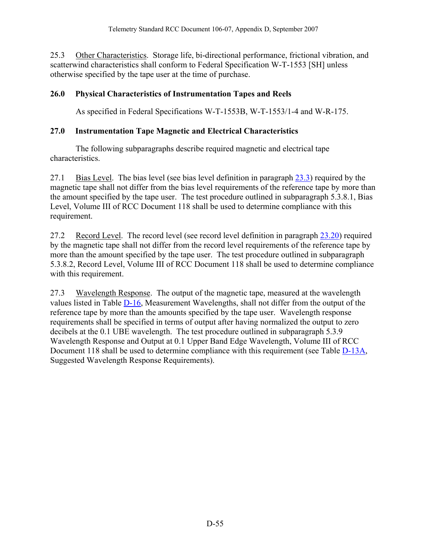<span id="page-56-0"></span>25.3 Other Characteristics. Storage life, bi-directional performance, frictional vibration, and scatterwind characteristics shall conform to Federal Specification W-T-1553 [SH] unless otherwise specified by the tape user at the time of purchase.

## **26.0 Physical Characteristics of Instrumentation Tapes and Reels**

As specified in Federal Specifications W-T-1553B, W-T-1553/1-4 and W-R-175.

## **27.0 Instrumentation Tape Magnetic and Electrical Characteristics**

 The following subparagraphs describe required magnetic and electrical tape characteristics.

27.1 Bias Level. The bias level (see bias level definition in paragraph [23.3](#page-49-0)) required by the magnetic tape shall not differ from the bias level requirements of the reference tape by more than the amount specified by the tape user. The test procedure outlined in subparagraph 5.3.8.1, Bias Level, Volume III of RCC Document 118 shall be used to determine compliance with this requirement.

27.2 Record Level. The record level (see record level definition in paragraph [23.20](#page-51-0)) required by the magnetic tape shall not differ from the record level requirements of the reference tape by more than the amount specified by the tape user. The test procedure outlined in subparagraph 5.3.8.2, Record Level, Volume III of RCC Document 118 shall be used to determine compliance with this requirement.

27.3 Wavelength Response. The output of the magnetic tape, measured at the wavelength values listed in Table [D-16,](#page-57-0) Measurement Wavelengths, shall not differ from the output of the reference tape by more than the amounts specified by the tape user. Wavelength response requirements shall be specified in terms of output after having normalized the output to zero decibels at the 0.1 UBE wavelength. The test procedure outlined in subparagraph 5.3.9 Wavelength Response and Output at 0.1 Upper Band Edge Wavelength, Volume III of RCC Document 118 shall be used to determine compliance with this requirement (see Table [D-13A](#page-48-0), Suggested Wavelength Response Requirements).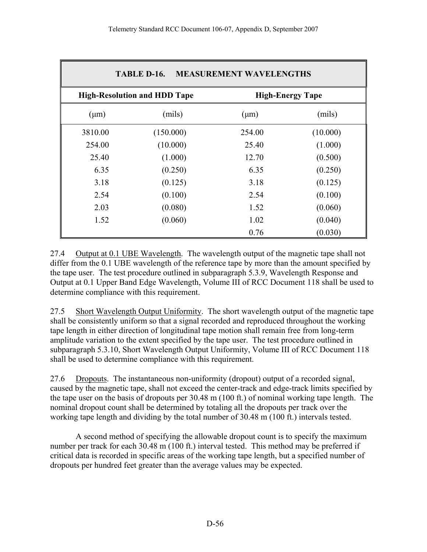<span id="page-57-0"></span>

| <b>MEASUREMENT WAVELENGTHS</b><br>TABLE D-16.                  |           |           |          |
|----------------------------------------------------------------|-----------|-----------|----------|
| <b>High-Resolution and HDD Tape</b><br><b>High-Energy Tape</b> |           |           |          |
| $(\mu m)$                                                      | (mils)    | $(\mu m)$ | (mils)   |
| 3810.00                                                        | (150.000) | 254.00    | (10.000) |
| 254.00                                                         | (10.000)  | 25.40     | (1.000)  |
| 25.40                                                          | (1.000)   | 12.70     | (0.500)  |
| 6.35                                                           | (0.250)   | 6.35      | (0.250)  |
| 3.18                                                           | (0.125)   | 3.18      | (0.125)  |
| 2.54                                                           | (0.100)   | 2.54      | (0.100)  |
| 2.03                                                           | (0.080)   | 1.52      | (0.060)  |
| 1.52                                                           | (0.060)   | 1.02      | (0.040)  |
|                                                                |           | 0.76      | (0.030)  |

27.4 Output at 0.1 UBE Wavelength. The wavelength output of the magnetic tape shall not differ from the 0.1 UBE wavelength of the reference tape by more than the amount specified by the tape user. The test procedure outlined in subparagraph 5.3.9, Wavelength Response and Output at 0.1 Upper Band Edge Wavelength, Volume III of RCC Document 118 shall be used to determine compliance with this requirement.

27.5 Short Wavelength Output Uniformity. The short wavelength output of the magnetic tape shall be consistently uniform so that a signal recorded and reproduced throughout the working tape length in either direction of longitudinal tape motion shall remain free from long-term amplitude variation to the extent specified by the tape user. The test procedure outlined in subparagraph 5.3.10, Short Wavelength Output Uniformity, Volume III of RCC Document 118 shall be used to determine compliance with this requirement.

27.6 Dropouts. The instantaneous non-uniformity (dropout) output of a recorded signal, caused by the magnetic tape, shall not exceed the center-track and edge-track limits specified by the tape user on the basis of dropouts per 30.48 m (100 ft.) of nominal working tape length. The nominal dropout count shall be determined by totaling all the dropouts per track over the working tape length and dividing by the total number of 30.48 m (100 ft.) intervals tested.

 A second method of specifying the allowable dropout count is to specify the maximum number per track for each 30.48 m (100 ft.) interval tested. This method may be preferred if critical data is recorded in specific areas of the working tape length, but a specified number of dropouts per hundred feet greater than the average values may be expected.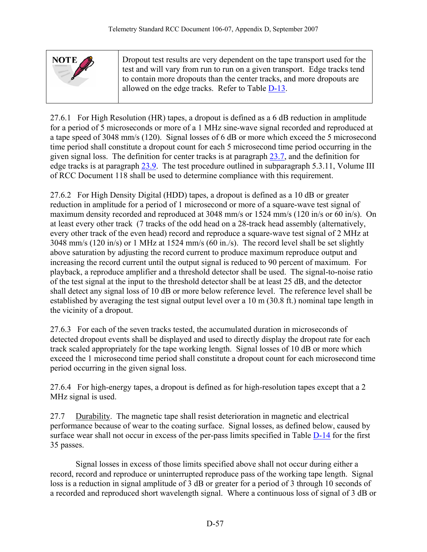<span id="page-58-0"></span>

| NOTE | Dropout test results are very dependent on the tape transport used for the<br>test and will vary from run to run on a given transport. Edge tracks tend<br>to contain more dropouts than the center tracks, and more dropouts are<br>allowed on the edge tracks. Refer to Table D-13. |
|------|---------------------------------------------------------------------------------------------------------------------------------------------------------------------------------------------------------------------------------------------------------------------------------------|
|      |                                                                                                                                                                                                                                                                                       |

27.6.1 For High Resolution (HR) tapes, a dropout is defined as a 6 dB reduction in amplitude for a period of 5 microseconds or more of a 1 MHz sine-wave signal recorded and reproduced at a tape speed of 3048 mm/s (120). Signal losses of 6 dB or more which exceed the 5 microsecond time period shall constitute a dropout count for each 5 microsecond time period occurring in the given signal loss. The definition for center tracks is at paragraph [23.7,](#page-50-0) and the definition for edge tracks is at paragraph [23.9.](#page-50-0) The test procedure outlined in subparagraph 5.3.11, Volume III of RCC Document 118 shall be used to determine compliance with this requirement.

27.6.2 For High Density Digital (HDD) tapes, a dropout is defined as a 10 dB or greater reduction in amplitude for a period of 1 microsecond or more of a square-wave test signal of maximum density recorded and reproduced at 3048 mm/s or 1524 mm/s (120 in/s or 60 in/s). On at least every other track (7 tracks of the odd head on a 28-track head assembly (alternatively, every other track of the even head) record and reproduce a square-wave test signal of 2 MHz at 3048 mm/s (120 in/s) or 1 MHz at 1524 mm/s (60 in./s). The record level shall be set slightly above saturation by adjusting the record current to produce maximum reproduce output and increasing the record current until the output signal is reduced to 90 percent of maximum. For playback, a reproduce amplifier and a threshold detector shall be used. The signal-to-noise ratio of the test signal at the input to the threshold detector shall be at least 25 dB, and the detector shall detect any signal loss of 10 dB or more below reference level. The reference level shall be established by averaging the test signal output level over a 10 m (30.8 ft.) nominal tape length in the vicinity of a dropout.

27.6.3 For each of the seven tracks tested, the accumulated duration in microseconds of detected dropout events shall be displayed and used to directly display the dropout rate for each track scaled appropriately for the tape working length. Signal losses of 10 dB or more which exceed the 1 microsecond time period shall constitute a dropout count for each microsecond time period occurring in the given signal loss.

27.6.4 For high-energy tapes, a dropout is defined as for high-resolution tapes except that a 2 MHz signal is used.

27.7 Durability. The magnetic tape shall resist deterioration in magnetic and electrical performance because of wear to the coating surface. Signal losses, as defined below, caused by surface wear shall not occur in excess of the per-pass limits specified in Table [D-14](#page-49-0) for the first 35 passes.

 Signal losses in excess of those limits specified above shall not occur during either a record, record and reproduce or uninterrupted reproduce pass of the working tape length. Signal loss is a reduction in signal amplitude of 3 dB or greater for a period of 3 through 10 seconds of a recorded and reproduced short wavelength signal. Where a continuous loss of signal of 3 dB or